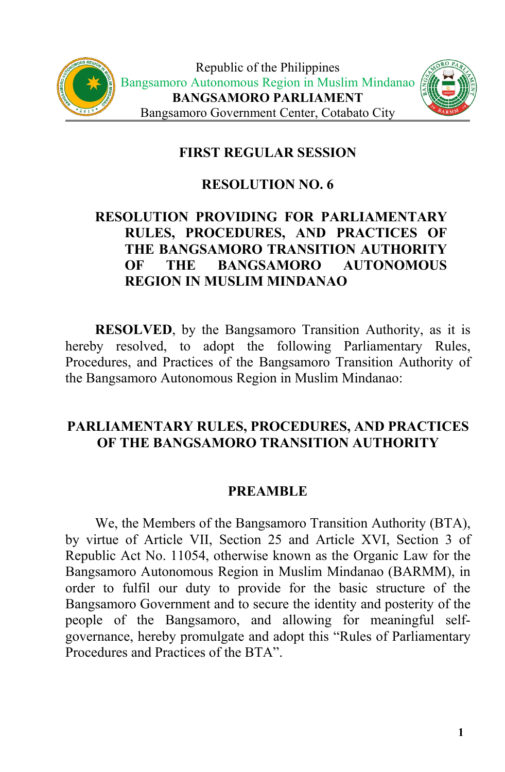



## **FIRST REGULAR SESSION**

#### **RESOLUTION NO. 6**

# **RESOLUTION PROVIDING FOR PARLIAMENTARY RULES, PROCEDURES, AND PRACTICES OF THE BANGSAMORO TRANSITION AUTHORITY OF THE BANGSAMORO AUTONOMOUS REGION IN MUSLIM MINDANAO**

**RESOLVED**, by the Bangsamoro Transition Authority, as it is hereby resolved, to adopt the following Parliamentary Rules, Procedures, and Practices of the Bangsamoro Transition Authority of the Bangsamoro Autonomous Region in Muslim Mindanao:

## **PARLIAMENTARY RULES, PROCEDURES, AND PRACTICES OF THE BANGSAMORO TRANSITION AUTHORITY**

#### **PREAMBLE**

We, the Members of the Bangsamoro Transition Authority (BTA), by virtue of Article VII, Section 25 and Article XVI, Section 3 of Republic Act No. 11054, otherwise known as the Organic Law for the Bangsamoro Autonomous Region in Muslim Mindanao (BARMM), in order to fulfil our duty to provide for the basic structure of the Bangsamoro Government and to secure the identity and posterity of the people of the Bangsamoro, and allowing for meaningful self governance, hereby promulgate and adopt this "Rules of Parliamentary Procedures and Practices of the BTA".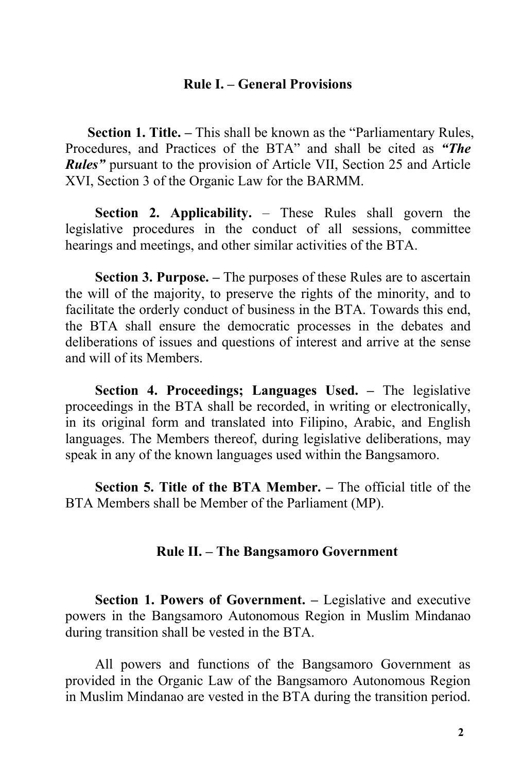#### **Rule I. – General Provisions**

**Section 1. Title.** – This shall be known as the "Parliamentary Rules, Procedures, and Practices of the BTA" and shall be cited as *"The Rules"* pursuant to the provision of Article VII, Section 25 and Article XVI, Section 3 of the Organic Law for the BARMM.

**Section 2. Applicability.** – These Rules shall govern the legislative procedures in the conduct of all sessions, committee hearings and meetings, and other similar activities of the BTA.

**Section 3. Purpose. – The purposes of these Rules are to ascertain** the will of the majority, to preserve the rights of the minority, and to facilitate the orderly conduct of business in the BTA. Towards this end, the BTA shall ensure the democratic processes in the debates and deliberations of issues and questions of interest and arrive at the sense and will of its Members.

**Section 4. Proceedings; Languages Used. –** The legislative proceedings in the BTA shall be recorded, in writing or electronically, in its original form and translated into Filipino, Arabic, and English languages. The Members thereof, during legislative deliberations, may speak in any of the known languages used within the Bangsamoro.

**Section 5. Title of the BTA Member. –** The official title of the BTA Members shall be Member of the Parliament (MP).

#### **Rule II. – The Bangsamoro Government**

**Section 1. Powers of Government. –** Legislative and executive powers in the Bangsamoro Autonomous Region in Muslim Mindanao during transition shall be vested in the BTA.

All powers and functions of the Bangsamoro Government as provided in the Organic Law of the Bangsamoro Autonomous Region in Muslim Mindanao are vested in the BTA during the transition period.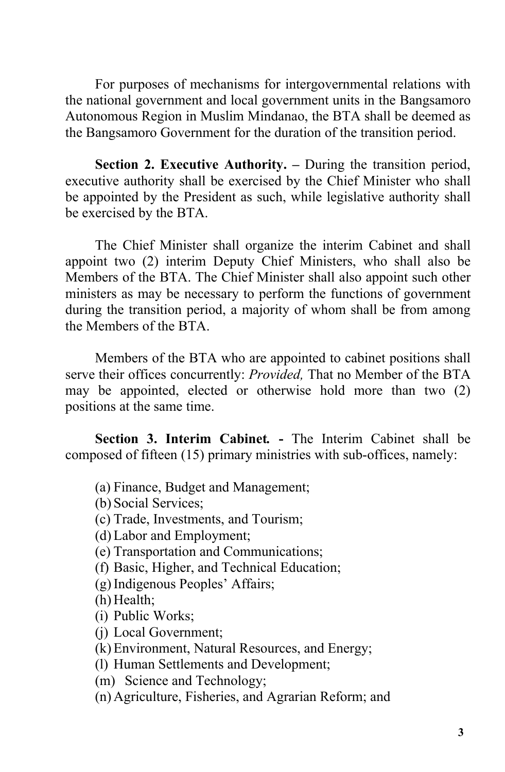For purposes of mechanisms for intergovernmental relations with the national government and local government units in the Bangsamoro Autonomous Region in Muslim Mindanao, the BTA shall be deemed as the Bangsamoro Government for the duration of the transition period.

**Section 2. Executive Authority. –** During the transition period, executive authority shall be exercised by the Chief Minister who shall be appointed by the President as such, while legislative authority shall be exercised by the BTA.

The Chief Minister shall organize the interim Cabinet and shall appoint two (2) interim Deputy Chief Ministers, who shall also be Members of the BTA. The Chief Minister shall also appoint such other ministers as may be necessary to perform the functions of government during the transition period, a majority of whom shall be from among the Members of the BTA.

Members of the BTA who are appointed to cabinet positions shall serve their offices concurrently: *Provided*, That no Member of the BTA may be appointed, elected or otherwise hold more than two (2) positions at the same time.

**Section 3. Interim Cabinet***.* **-** The Interim Cabinet shall be composed of fifteen (15) primary ministries with sub-offices, namely:

(a) Finance, Budget and Management;

(b) Social Services;

(c) Trade, Investments, and Tourism;

(d) Labor and Employment;

(e) Transportation and Communications;

(f) Basic, Higher, and Technical Education;

(g)Indigenous Peoples' Affairs;

(h) Health;

(i) Public Works;

(j) Local Government;

(k) Environment, Natural Resources, and Energy;

(l) Human Settlements and Development;

(m) Science and Technology;

(n) Agriculture, Fisheries, and Agrarian Reform; and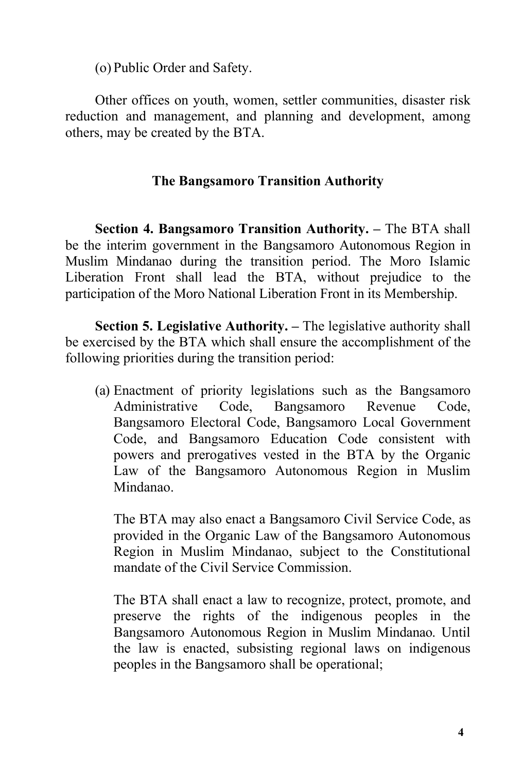(o) Public Order and Safety.

Other offices on youth, women, settler communities, disaster risk reduction and management, and planning and development, among others, may be created by the BTA.

# **The Bangsamoro Transition Authority**

**Section 4. Bangsamoro Transition Authority. –** The BTA shall be the interim government in the Bangsamoro Autonomous Region in Muslim Mindanao during the transition period. The Moro Islamic Liberation Front shall lead the BTA, without prejudice to the participation of the Moro National Liberation Front in its Membership.

**Section 5. Legislative Authority. –** The legislative authority shall be exercised by the BTA which shall ensure the accomplishment of the following priorities during the transition period:

(a) Enactment of priority legislations such as the Bangsamoro Administrative Code, Bangsamoro Revenue Code, Bangsamoro Electoral Code, Bangsamoro Local Government Code, and Bangsamoro Education Code consistent with powers and prerogatives vested in the BTA by the Organic Law of the Bangsamoro Autonomous Region in Muslim Mindanao.

The BTA may also enact a Bangsamoro Civil Service Code, as provided in the Organic Law of the Bangsamoro Autonomous Region in Muslim Mindanao, subject to the Constitutional mandate of the Civil Service Commission.

The BTA shall enact a law to recognize, protect, promote, and preserve the rights of the indigenous peoples in the Bangsamoro Autonomous Region in Muslim Mindanao. Until the law is enacted, subsisting regional laws on indigenous peoples in the Bangsamoro shall be operational;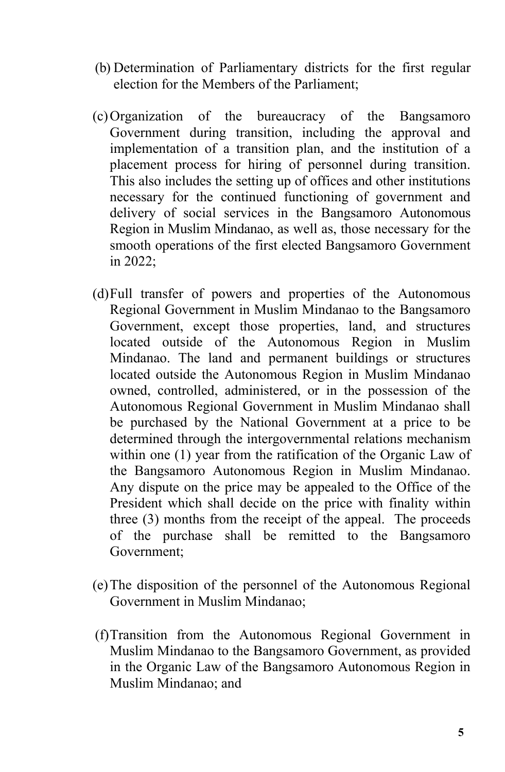- (b) Determination of Parliamentary districts for the first regular election for the Members of the Parliament;
- (c)Organization of the bureaucracy of the Bangsamoro Government during transition, including the approval and implementation of a transition plan, and the institution of a placement process for hiring of personnel during transition. This also includes the setting up of offices and other institutions necessary for the continued functioning of government and delivery of social services in the Bangsamoro Autonomous Region in Muslim Mindanao, as well as, those necessary for the smooth operations of the first elected Bangsamoro Government in 2022;
- (d)Full transfer of powers and properties of the Autonomous Regional Government in Muslim Mindanao to the Bangsamoro Government, except those properties, land, and structures located outside of the Autonomous Region in Muslim Mindanao. The land and permanent buildings or structures located outside the Autonomous Region in Muslim Mindanao owned, controlled, administered, or in the possession of the Autonomous Regional Government in Muslim Mindanao shall be purchased by the National Government at a price to be determined through the intergovernmental relations mechanism within one (1) year from the ratification of the Organic Law of the Bangsamoro Autonomous Region in Muslim Mindanao. Any dispute on the price may be appealed to the Office of the President which shall decide on the price with finality within three (3) months from the receipt of the appeal. The proceeds of the purchase shall be remitted to the Bangsamoro Government;
- (e)The disposition of the personnel of the Autonomous Regional Government in Muslim Mindanao;
- (f)Transition from the Autonomous Regional Government in Muslim Mindanao to the Bangsamoro Government, as provided in the Organic Law of the Bangsamoro Autonomous Region in Muslim Mindanao; and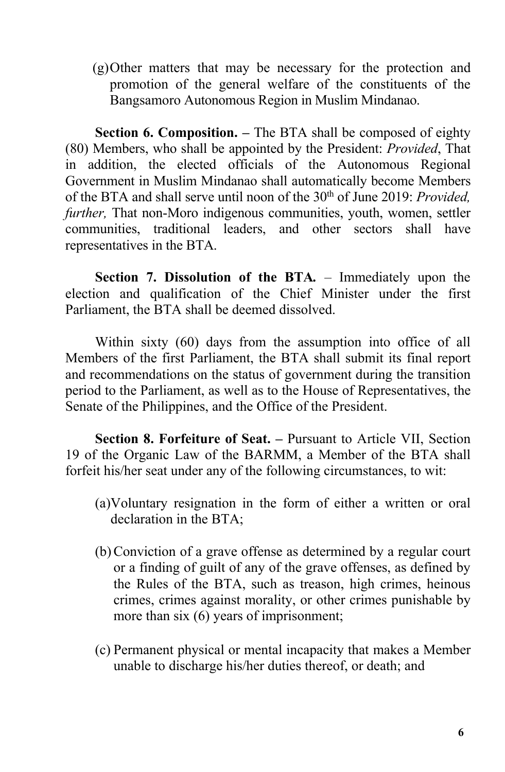(g)Other matters that may be necessary for the protection and promotion of the general welfare of the constituents of the Bangsamoro Autonomous Region in Muslim Mindanao.

**Section 6. Composition. –** The BTA shall be composed of eighty (80) Members, who shall be appointed by the President: *Provided*, That in addition, the elected officials of the Autonomous Regional Government in Muslim Mindanao shall automatically become Members of the BTA and shall serve until noon of the 30<sup>th</sup> of June 2019: *Provided, further,* That non-Moro indigenous communities, youth, women, settler communities, traditional leaders, and other sectors shall have representatives in the BTA.

**Section 7. Dissolution of the BTA***.* – Immediately upon the election and qualification of the Chief Minister under the first Parliament, the BTA shall be deemed dissolved.

Within sixty (60) days from the assumption into office of all Members of the first Parliament, the BTA shall submit its final report and recommendations on the status of government during the transition period to the Parliament, as well as to the House of Representatives, the Senate of the Philippines, and the Office of the President.

**Section 8. Forfeiture of Seat. –** Pursuant to Article VII, Section 19 of the Organic Law of the BARMM, a Member of the BTA shall forfeit his/her seat under any of the following circumstances, to wit:

- (a)Voluntary resignation in the form of either a written or oral declaration in the BTA;
- (b)Conviction of a grave offense as determined by a regular court or a finding of guilt of any of the grave offenses, as defined by the Rules of the BTA, such as treason, high crimes, heinous crimes, crimes against morality, or other crimes punishable by more than six  $(6)$  years of imprisonment;
- (c) Permanent physical or mental incapacity that makes a Member unable to discharge his/her duties thereof, or death; and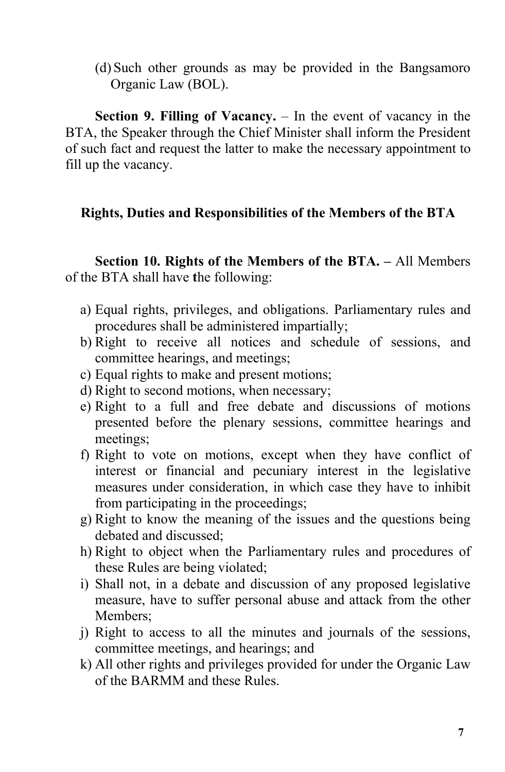(d) Such other grounds as may be provided in the Bangsamoro Organic Law (BOL).

**Section 9. Filling of Vacancy.** – In the event of vacancy in the BTA, the Speaker through the Chief Minister shall inform the President of such fact and request the latter to make the necessary appointment to fill up the vacancy.

# **Rights, Duties and Responsibilities ofthe Members of the BTA**

**Section 10. Rights of the Members of the BTA. –** All Members of the BTA shall have **t**he following:

- a) Equal rights, privileges, and obligations. Parliamentary rules and procedures shall be administered impartially;
- b) Right to receive all notices and schedule of sessions, and committee hearings, and meetings;
- c) Equal rights to make and present motions;
- d) Right to second motions, when necessary;
- e) Right to a full and free debate and discussions of motions presented before the plenary sessions, committee hearings and meetings;
- f) Right to vote on motions, except when they have conflict of interest or financial and pecuniary interest in the legislative measures under consideration, in which case they have to inhibit from participating in the proceedings;
- g) Right to know the meaning of the issues and the questions being debated and discussed;
- h) Right to object when the Parliamentary rules and procedures of these Rules are being violated;
- i) Shall not, in a debate and discussion of any proposed legislative measure, have to suffer personal abuse and attack from the other Members;
- j) Right to access to all the minutes and journals of the sessions, committee meetings, and hearings; and
- k) All other rights and privileges provided for under the Organic Law of the BARMM and these Rules.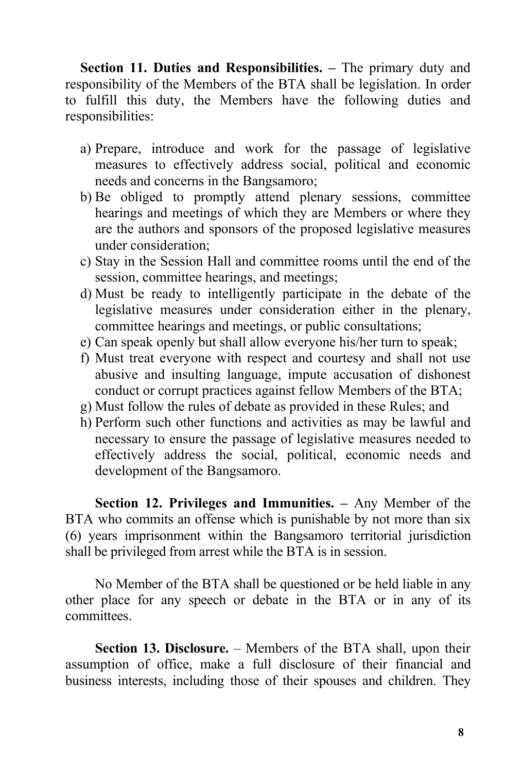**Section 11. Duties and Responsibilities. –** The primary duty and responsibility of the Members of the BTA shall be legislation. In order to fulfill this duty, the Members have the following duties and responsibilities:

- a) Prepare, introduce and work for the passage of legislative measures to effectively address social, political and economic needs and concerns in the Bangsamoro;
- b) Be obliged to promptly attend plenary sessions, committee hearings and meetings of which they are Members or where they are the authors and sponsors of the proposed legislative measures under consideration;
- c) Stay in the Session Hall and committee rooms until the end of the session, committee hearings, and meetings;
- d) Must be ready to intelligently participate in the debate of the legislative measures under consideration either in the plenary, committee hearings and meetings, or public consultations;
- e) Can speak openly but shall allow everyone his/her turn to speak;
- f) Must treat everyone with respect and courtesy and shall not use abusive and insulting language, impute accusation of dishonest conduct or corrupt practices against fellow Members of the BTA;
- g) Must follow the rules of debate as provided in these Rules; and
- h) Perform such other functions and activities as may be lawful and necessary to ensure the passage of legislative measures needed to effectively address the social, political, economic needs and development of the Bangsamoro.

**Section 12. Privileges and Immunities. –** Any Member of the BTA who commits an offense which is punishable by not more than six (6) years imprisonment within the Bangsamoro territorial jurisdiction shall be privileged from arrest while the BTA is in session.

No Member of the BTA shall be questioned or be held liable in any other place for any speech or debate in the BTA or in any of its committees.

**Section 13. Disclosure.** – Members of the BTA shall, upon their assumption of office, make a full disclosure of their financial and business interests, including those of their spouses and children. They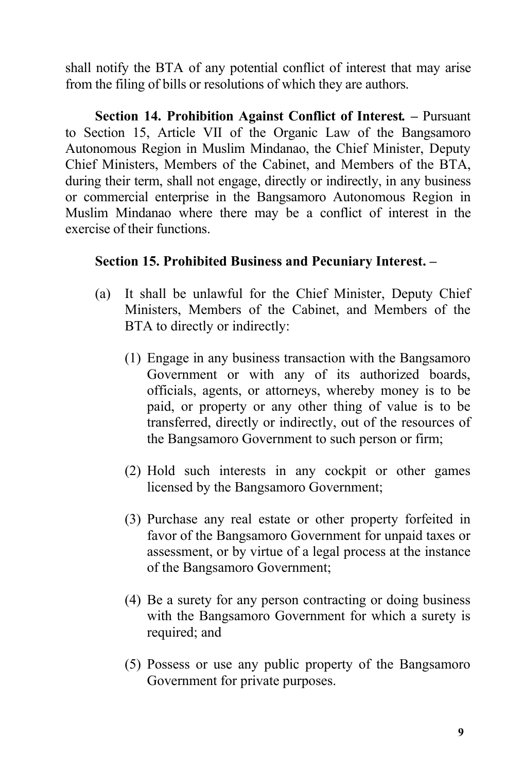shall notify the BTA of any potential conflict of interest that may arise from the filing of bills or resolutions of which they are authors.

**Section 14. Prohibition Against Conflict of Interest***.* **–** Pursuant to Section 15, Article VII of the Organic Law of the Bangsamoro Autonomous Region in Muslim Mindanao, the Chief Minister, Deputy Chief Ministers, Members of the Cabinet, and Members of the BTA, during their term, shall not engage, directly or indirectly, in any business or commercial enterprise in the Bangsamoro Autonomous Region in Muslim Mindanao where there may be a conflict of interest in the exercise of their functions.

## **Section 15. Prohibited Business and Pecuniary Interest. –**

- (a) It shall be unlawful for the Chief Minister, Deputy Chief Ministers, Members of the Cabinet, and Members of the BTA to directly or indirectly:
	- (1) Engage in any business transaction with the Bangsamoro Government or with any of its authorized boards, officials, agents, or attorneys, whereby money is to be paid, or property or any other thing of value is to be transferred, directly or indirectly, out of the resources of the Bangsamoro Government to such person or firm;
	- (2) Hold such interests in any cockpit or other games licensed by the Bangsamoro Government;
	- (3) Purchase any real estate or other property forfeited in favor of the Bangsamoro Government for unpaid taxes or assessment, or by virtue of a legal process at the instance of the Bangsamoro Government;
	- (4) Be a surety for any person contracting or doing business with the Bangsamoro Government for which a surety is required; and
	- (5) Possess or use any public property of the Bangsamoro Government for private purposes.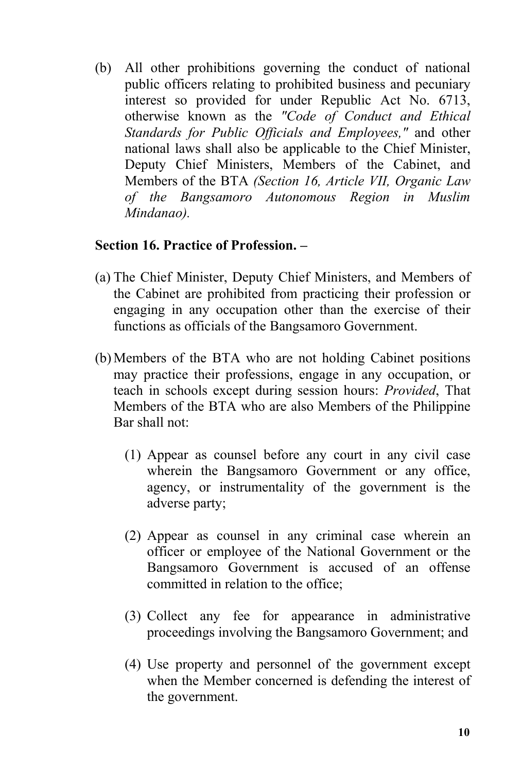(b) All other prohibitions governing the conduct of national public officers relating to prohibited business and pecuniary interest so provided for under Republic Act No. 6713, otherwise known as the *"Code of Conduct and Ethical Standards for Public Of icials and Employees,"* and other national laws shall also be applicable to the Chief Minister, Deputy Chief Ministers, Members of the Cabinet, and Members of the BTA *(Section 16, Article VII, Organic Law of the Bangsamoro Autonomous Region in Muslim Mindanao).*

## **Section 16. Practice of Profession. –**

- (a) The Chief Minister, Deputy Chief Ministers, and Members of the Cabinet are prohibited from practicing their profession or engaging in any occupation other than the exercise of their functions as officials of the Bangsamoro Government.
- (b) Members of the BTA who are not holding Cabinet positions may practice their professions, engage in any occupation, or teach in schools except during session hours: *Provided*, That Members of the BTA who are also Members of the Philippine Bar shall not:
	- (1) Appear as counsel before any court in any civil case wherein the Bangsamoro Government or any office, agency, or instrumentality of the government is the adverse party;
	- (2) Appear as counsel in any criminal case wherein an officer or employee of the National Government or the Bangsamoro Government is accused of an offense committed in relation to the office;
	- (3) Collect any fee for appearance in administrative proceedings involving the Bangsamoro Government; and
	- (4) Use property and personnel of the government except when the Member concerned is defending the interest of the government.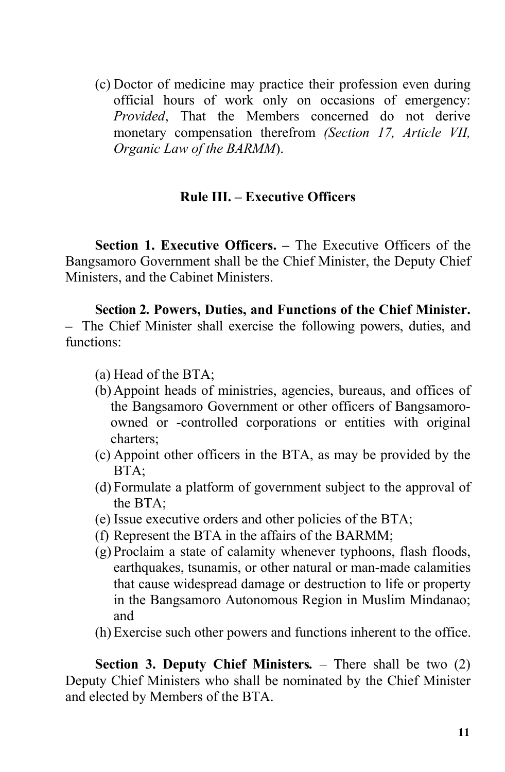(c) Doctor of medicine may practice their profession even during official hours of work only on occasions of emergency: *Provided*, That the Members concerned do not derive monetary compensation therefrom *(Section 17, Article VII, Organic Law of the BARMM*).

#### **Rule III. – Executive Officers**

**Section 1. Executive Officers. –** The Executive Officers of the Bangsamoro Government shall be the Chief Minister, the Deputy Chief Ministers, and the Cabinet Ministers.

**Section 2. Powers, Duties, and Functions of the Chief Minister. –** The Chief Minister shall exercise the following powers, duties, and functions:

- (a) Head of the BTA;
- (b) Appoint heads of ministries, agencies, bureaus, and offices of the Bangsamoro Government or other officers of Bangsamoro owned or -controlled corporations or entities with original charters;
- (c) Appoint other officers in the BTA, as may be provided by the BTA;
- (d) Formulate a platform of government subject to the approval of the BTA;
- (e) Issue executive orders and other policies of the BTA;
- (f) Represent the BTA in the affairs of the BARMM;
- (g) Proclaim a state of calamity whenever typhoons, flash floods, earthquakes, tsunamis, or other natural or man-made calamities that cause widespread damage or destruction to life or property in the Bangsamoro Autonomous Region in Muslim Mindanao; and
- (h) Exercise such other powers and functions inherent to the office.

**Section 3. Deputy Chief Ministers***.* – There shall be two (2) Deputy Chief Ministers who shall be nominated by the Chief Minister and elected by Members of the BTA.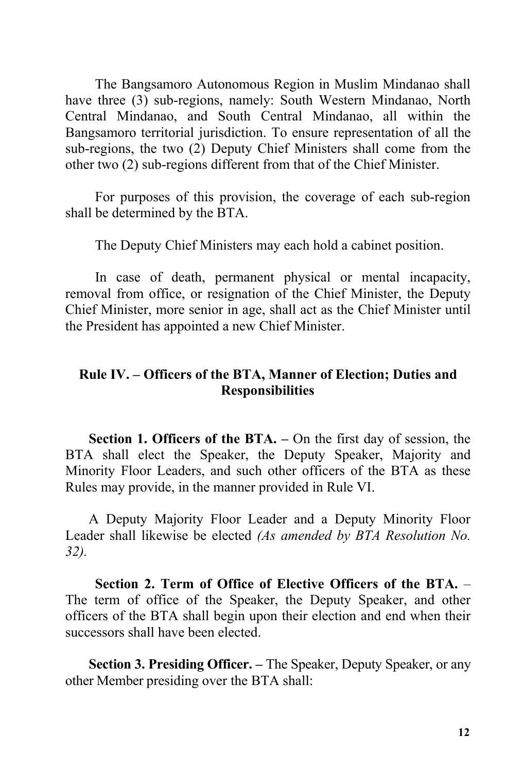The Bangsamoro Autonomous Region in Muslim Mindanao shall have three (3) sub-regions, namely: South Western Mindanao, North Central Mindanao, and South Central Mindanao, all within the Bangsamoro territorial jurisdiction. To ensure representation of all the sub-regions, the two (2) Deputy Chief Ministers shall come from the other two (2) sub-regions different from that of the Chief Minister.

For purposes of this provision, the coverage of each sub-region shall be determined by the BTA.

The Deputy Chief Ministers may each hold a cabinet position.

In case of death, permanent physical or mental incapacity, removal from office, or resignation of the Chief Minister, the Deputy Chief Minister, more senior in age, shall act as the Chief Minister until the President has appointed a new Chief Minister.

# **Rule IV.** - Officers of the BTA, Manner of Election; Duties and **Responsibilities**

**Section 1. Officers of the BTA. –** On the first day of session, the BTA shall elect the Speaker, the Deputy Speaker, Majority and Minority Floor Leaders, and such other officers of the BTA as these Rules may provide, in the manner provided in Rule VI.

A Deputy Majority Floor Leader and a Deputy Minority Floor Leader shall likewise be elected *(As amended by BTA Resolution No. 32).*

**Section 2. Term of Office of Elective Officers of the BTA.** – The term of office of the Speaker, the Deputy Speaker, and other officers of the BTA shall begin upon their election and end when their successors shall have been elected.

**Section 3. Presiding Officer. –** The Speaker, Deputy Speaker, or any other Member presiding over the BTA shall: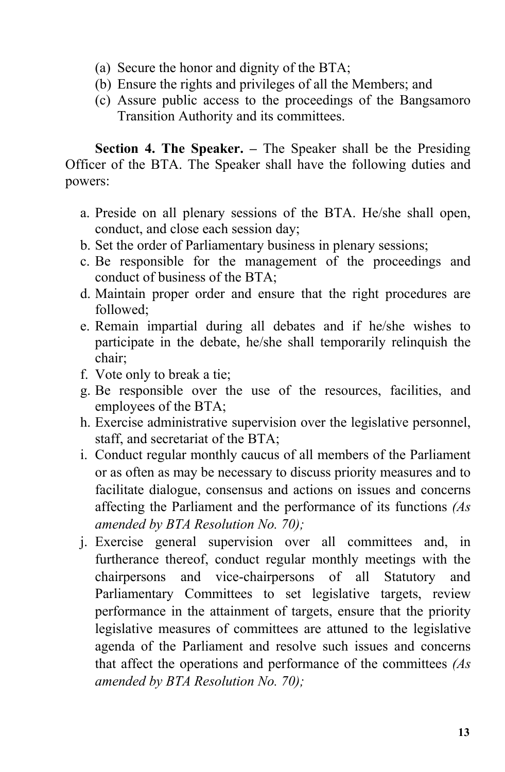- (a) Secure the honor and dignity of the BTA;
- (b) Ensure the rights and privileges of all the Members; and
- (c) Assure public access to the proceedings of the Bangsamoro Transition Authority and its committees.

**Section 4. The Speaker. –** The Speaker shall be the Presiding Officer of the BTA. The Speaker shall have the following duties and powers:

- a. Preside on all plenary sessions of the BTA. He/she shall open, conduct, and close each session day;
- b. Set the order of Parliamentary business in plenary sessions;
- c. Be responsible for the management of the proceedings and conduct of business of the BTA;
- d. Maintain proper order and ensure that the right procedures are followed;
- e. Remain impartial during all debates and if he/she wishes to participate in the debate, he/she shall temporarily relinquish the chair;
- f. Vote only to break a tie;
- g. Be responsible over the use of the resources, facilities, and employees of the BTA;
- h. Exercise administrative supervision over the legislative personnel, staff, and secretariat of the BTA;
- i. Conduct regular monthly caucus of all members of the Parliament or as often as may be necessary to discuss priority measures and to facilitate dialogue, consensus and actions on issues and concerns affecting the Parliament and the performance of its functions *(As amended by BTA Resolution No. 70);*
- j. Exercise general supervision over all committees and, in furtherance thereof, conduct regular monthly meetings with the chairpersons and vice-chairpersons of all Statutory and Parliamentary Committees to set legislative targets, review performance in the attainment of targets, ensure that the priority legislative measures of committees are attuned to the legislative agenda of the Parliament and resolve such issues and concerns that affect the operations and performance of the committees *(As amended by BTA Resolution No. 70);*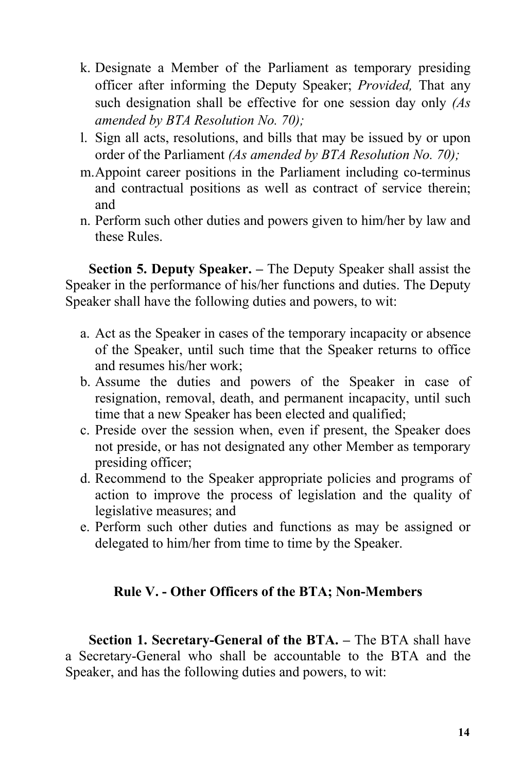- k. Designate a Member of the Parliament as temporary presiding officer after informing the Deputy Speaker; *Provided,* That any such designation shall be effective for one session day only *(As amended by BTA Resolution No. 70);*
- l. Sign all acts, resolutions, and bills that may be issued by or upon order of the Parliament *(As amended by BTA Resolution No. 70);*
- m.Appoint career positions in the Parliament including co-terminus and contractual positions as well as contract of service therein; and
- n. Perform such other duties and powers given to him/her by law and these Rules.

**Section 5. Deputy Speaker. –** The Deputy Speaker shall assist the Speaker in the performance of his/her functions and duties. The Deputy Speaker shall have the following duties and powers, to wit:

- a. Act as the Speaker in cases of the temporary incapacity or absence of the Speaker, until such time that the Speaker returns to office and resumes his/her work;
- b. Assume the duties and powers of the Speaker in case of resignation, removal, death, and permanent incapacity, until such time that a new Speaker has been elected and qualified;
- c. Preside over the session when, even if present, the Speaker does not preside, or has not designated any other Member as temporary presiding officer;
- d. Recommend to the Speaker appropriate policies and programs of action to improve the process of legislation and the quality of legislative measures; and
- e. Perform such other duties and functions as may be assigned or delegated to him/her from time to time by the Speaker.

# **Rule V. - Other Officers ofthe BTA; Non-Members**

**Section 1. Secretary-General of the BTA. –** The BTA shall have a Secretary-General who shall be accountable to the BTA and the Speaker, and has the following duties and powers, to wit: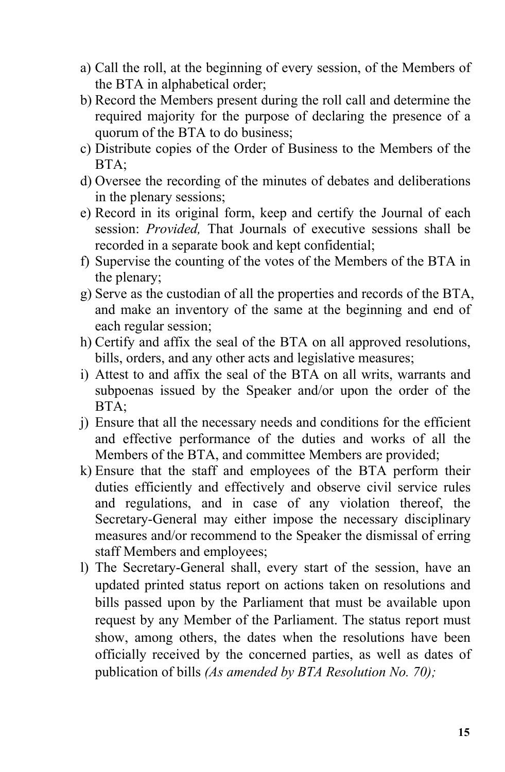- a) Call the roll, at the beginning of every session, of the Members of the BTA in alphabetical order;
- b) Record the Members present during the roll call and determine the required majority for the purpose of declaring the presence of a quorum of the BTA to do business;
- c) Distribute copies of the Order of Business to the Members of the BTA;
- d) Oversee the recording of the minutes of debates and deliberations in the plenary sessions;
- e) Record in its original form, keep and certify the Journal of each session: *Provided,* That Journals of executive sessions shall be recorded in a separate book and kept confidential;
- f) Supervise the counting of the votes of the Members of the BTA in the plenary;
- g) Serve as the custodian of all the properties and records of the BTA, and make an inventory of the same at the beginning and end of each regular session;
- h) Certify and affix the seal of the BTA on all approved resolutions, bills, orders, and any other acts and legislative measures;
- i) Attest to and affix the seal of the BTA on all writs, warrants and subpoenas issued by the Speaker and/or upon the order of the BTA;
- j) Ensure that all the necessary needs and conditions for the efficient and effective performance of the duties and works of all the Members of the BTA, and committee Members are provided;
- k) Ensure that the staff and employees of the BTA perform their duties efficiently and effectively and observe civil service rules and regulations, and in case of any violation thereof, the Secretary-General may either impose the necessary disciplinary measures and/or recommend to the Speaker the dismissal of erring staff Members and employees;
- l) The Secretary-General shall, every start of the session, have an updated printed status report on actions taken on resolutions and bills passed upon by the Parliament that must be available upon request by any Member of the Parliament. The status report must show, among others, the dates when the resolutions have been officially received by the concerned parties, as well as dates of publication of bills *(As amended by BTA Resolution No. 70);*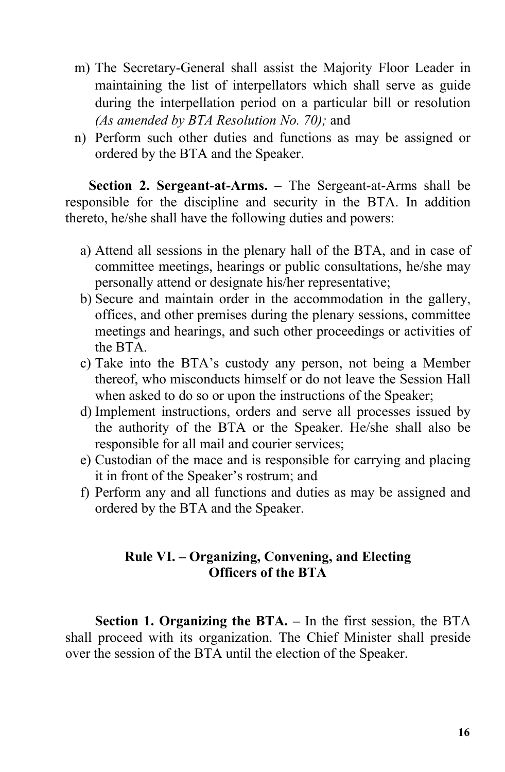- m) The Secretary-General shall assist the Majority Floor Leader in maintaining the list of interpellators which shall serve as guide during the interpellation period on a particular bill or resolution *(As amended by BTA Resolution No. 70);* and
- n) Perform such other duties and functions as may be assigned or ordered by the BTA and the Speaker.

**Section 2. Sergeant-at-Arms.** – The Sergeant-at-Arms shall be responsible for the discipline and security in the BTA. In addition thereto, he/she shall have the following duties and powers:

- a) Attend all sessions in the plenary hall of the BTA, and in case of committee meetings, hearings or public consultations, he/she may personally attend or designate his/her representative;
- b) Secure and maintain order in the accommodation in the gallery, offices, and other premises during the plenary sessions, committee meetings and hearings, and such other proceedings or activities of the BTA.
- c) Take into the BTA's custody any person, not being a Member thereof, who misconducts himself or do not leave the Session Hall when asked to do so or upon the instructions of the Speaker;
- d) Implement instructions, orders and serve all processes issued by the authority of the BTA or the Speaker. He/she shall also be responsible for all mail and courier services;
- e) Custodian of the mace and is responsible for carrying and placing it in front of the Speaker's rostrum; and
- f) Perform any and all functions and duties as may be assigned and ordered by the BTA and the Speaker.

# **Rule VI. – Organizing, Convening, and Electing Officers** of the BTA

**Section 1. Organizing the BTA. –** In the first session, the BTA shall proceed with its organization. The Chief Minister shall preside over the session of the BTA until the election of the Speaker.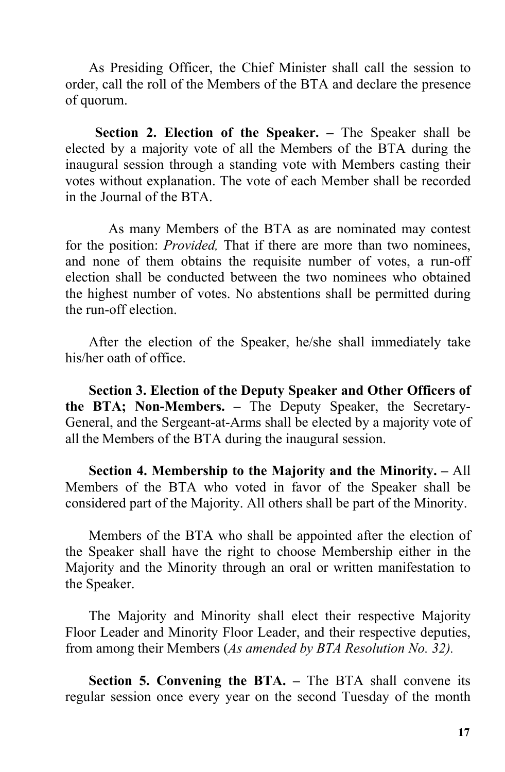As Presiding Officer, the Chief Minister shall call the session to order, call the roll of the Members of the BTA and declare the presence of quorum.

**Section 2. Election of the Speaker. –** The Speaker shall be elected by a majority vote of all the Members of the BTA during the inaugural session through a standing vote with Members casting their votes without explanation. The vote of each Member shall be recorded in the Journal of the BTA.

As many Members of the BTA as are nominated may contest for the position: *Provided,* That if there are more than two nominees, and none of them obtains the requisite number of votes, a run-off election shall be conducted between the two nominees who obtained the highest number of votes. No abstentions shall be permitted during the run-off election.

After the election of the Speaker, he/she shall immediately take his/her oath of office.

**Section 3. Election of the Deputy Speaker and Other Officers of the BTA; Non-Members. –** The Deputy Speaker, the Secretary- General, and the Sergeant-at-Arms shall be elected by a majority vote of all the Members of the BTA during the inaugural session.

**Section 4. Membership to the Majority and the Minority. –** All Members of the BTA who voted in favor of the Speaker shall be considered part of the Majority. All others shall be part of the Minority.

Members of the BTA who shall be appointed after the election of the Speaker shall have the right to choose Membership either in the Majority and the Minority through an oral or written manifestation to the Speaker.

The Majority and Minority shall elect their respective Majority Floor Leader and Minority Floor Leader, and their respective deputies, from among their Members (*As amended by BTA Resolution No. 32).*

**Section 5. Convening the BTA. –** The BTA shall convene its regular session once every year on the second Tuesday of the month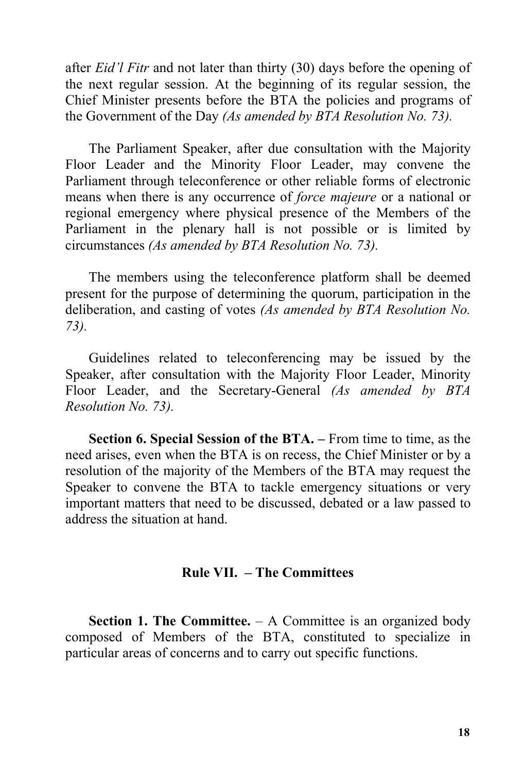after *Eid'l Fitr* and not later than thirty (30) days before the opening of the next regular session. At the beginning of its regular session, the Chief Minister presents before the BTA the policies and programs of the Government of the Day *(As amended by BTA Resolution No. 73).*

The Parliament Speaker, after due consultation with the Majority Floor Leader and the Minority Floor Leader, may convene the Parliament through teleconference or other reliable forms of electronic means when there is any occurrence of *force majeure* or a national or regional emergency where physical presence of the Members of the Parliament in the plenary hall is not possible or is limited by circumstances *(As amended by BTA Resolution No. 73).*

The members using the teleconference platform shall be deemed present for the purpose of determining the quorum, participation in the deliberation, and casting of votes *(As amended by BTA Resolution No. 73).*

Guidelines related to teleconferencing may be issued by the Speaker, after consultation with the Majority Floor Leader, Minority Floor Leader, and the Secretary-General *(As amended by BTA Resolution No. 73).*

**Section 6. Special Session of the BTA. –** From time to time, as the need arises, even when the BTA is on recess, the Chief Minister or by a resolution of the majority of the Members of the BTA may request the Speaker to convene the BTA to tackle emergency situations or very important matters that need to be discussed, debated or a law passed to address the situation at hand.

#### **Rule VII. – The Committees**

**Section 1. The Committee.** – A Committee is an organized body composed of Members of the BTA, constituted to specialize in particular areas of concerns and to carry out specific functions.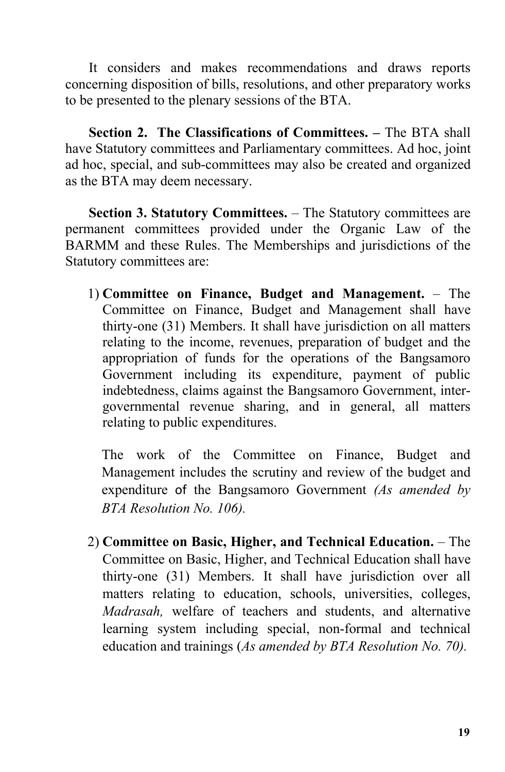It considers and makes recommendations and draws reports concerning disposition of bills, resolutions, and other preparatory works to be presented to the plenary sessions of the BTA.

**Section 2. The Classifications of Committees. –** The BTA shall have Statutory committees and Parliamentary committees. Ad hoc, joint ad hoc, special, and sub-committees may also be created and organized as the BTA may deem necessary.

**Section 3. Statutory Committees.** – The Statutory committees are permanent committees provided under the Organic Law of the BARMM and these Rules. The Memberships and jurisdictions of the Statutory committees are:

1) **Committee on Finance, Budget and Management.** – The Committee on Finance, Budget and Management shall have thirty-one (31) Members. It shall have jurisdiction on all matters relating to the income, revenues, preparation of budget and the appropriation of funds for the operations of the Bangsamoro Government including its expenditure, payment of public indebtedness, claims against the Bangsamoro Government, inter governmental revenue sharing, and in general, all matters relating to public expenditures.

The work of the Committee on Finance, Budget and Management includes the scrutiny and review of the budget and expenditure of the Bangsamoro Government *(As amended by BTA Resolution No. 106).*

2) **Committee on Basic, Higher, and Technical Education.** – The Committee on Basic, Higher, and Technical Education shall have thirty-one (31) Members. It shall have jurisdiction over all matters relating to education, schools, universities, colleges, *Madrasah,* welfare of teachers and students, and alternative learning system including special, non-formal and technical education and trainings (*As amended by BTA Resolution No. 70).*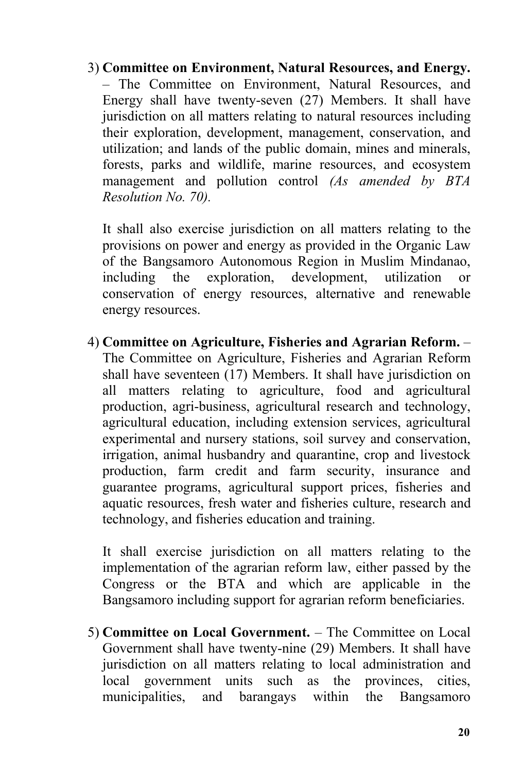3) **Committee on Environment, Natural Resources, and Energy.** – The Committee on Environment, Natural Resources, and Energy shall have twenty-seven (27) Members. It shall have jurisdiction on all matters relating to natural resources including their exploration, development, management, conservation, and utilization; and lands of the public domain, mines and minerals, forests, parks and wildlife, marine resources, and ecosystem management and pollution control *(As amended by BTA Resolution No. 70).*

It shall also exercise jurisdiction on all matters relating to the provisions on power and energy as provided in the Organic Law of the Bangsamoro Autonomous Region in Muslim Mindanao, including the exploration, development, utilization or conservation of energy resources, alternative and renewable energy resources.

4) **Committee on Agriculture, Fisheries and Agrarian Reform.** – The Committee on Agriculture, Fisheries and Agrarian Reform shall have seventeen (17) Members. It shall have jurisdiction on all matters relating to agriculture, food and agricultural production, agri-business, agricultural research and technology, agricultural education, including extension services, agricultural experimental and nursery stations, soil survey and conservation, irrigation, animal husbandry and quarantine, crop and livestock production, farm credit and farm security, insurance and guarantee programs, agricultural support prices, fisheries and aquatic resources, fresh water and fisheries culture, research and technology, and fisheries education and training.

It shall exercise jurisdiction on all matters relating to the implementation of the agrarian reform law, either passed by the Congress or the BTA and which are applicable in the Bangsamoro including support for agrarian reform beneficiaries.

5) **Committee on Local Government.** – The Committee on Local Government shall have twenty-nine (29) Members. It shall have jurisdiction on all matters relating to local administration and local government units such as the provinces, cities, municipalities, and barangays within the Bangsamoro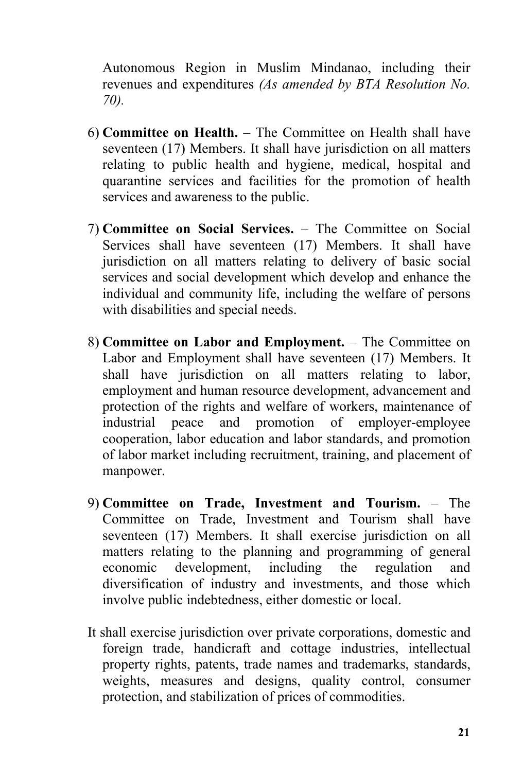Autonomous Region in Muslim Mindanao, including their revenues and expenditures *(As amended by BTA Resolution No. 70).*

- 6) **Committee on Health.** The Committee on Health shall have seventeen (17) Members. It shall have jurisdiction on all matters relating to public health and hygiene, medical, hospital and quarantine services and facilities for the promotion of health services and awareness to the public.
- 7) **Committee on Social Services.** The Committee on Social Services shall have seventeen (17) Members. It shall have jurisdiction on all matters relating to delivery of basic social services and social development which develop and enhance the individual and community life, including the welfare of persons with disabilities and special needs.
- 8) **Committee on Labor and Employment.** The Committee on Labor and Employment shall have seventeen (17) Members. It shall have jurisdiction on all matters relating to labor, employment and human resource development, advancement and protection of the rights and welfare of workers, maintenance of industrial peace and promotion of employer-employee cooperation, labor education and labor standards, and promotion of labor market including recruitment, training, and placement of manpower.
- 9) **Committee on Trade, Investment and Tourism.** The Committee on Trade, Investment and Tourism shall have seventeen (17) Members. It shall exercise jurisdiction on all matters relating to the planning and programming of general economic development, including the regulation and diversification of industry and investments, and those which involve public indebtedness, either domestic or local.
- It shall exercise jurisdiction over private corporations, domestic and foreign trade, handicraft and cottage industries, intellectual property rights, patents, trade names and trademarks, standards, weights, measures and designs, quality control, consumer protection, and stabilization of prices of commodities.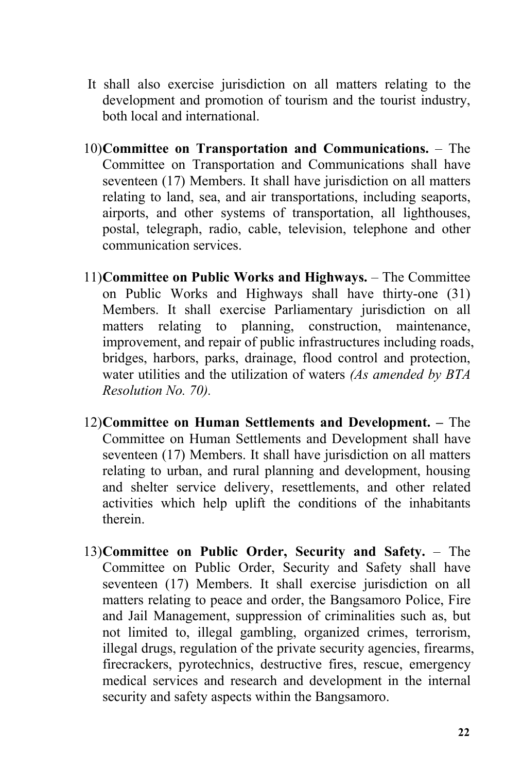- It shall also exercise jurisdiction on all matters relating to the development and promotion of tourism and the tourist industry, both local and international.
- 10)**Committee on Transportation and Communications.** The Committee on Transportation and Communications shall have seventeen (17) Members. It shall have jurisdiction on all matters relating to land, sea, and air transportations, including seaports, airports, and other systems of transportation, all lighthouses, postal, telegraph, radio, cable, television, telephone and other communication services.
- 11)**Committee on Public Works and Highways.** The Committee on Public Works and Highways shall have thirty-one (31) Members. It shall exercise Parliamentary jurisdiction on all matters relating to planning, construction, maintenance, improvement, and repair of public infrastructures including roads, bridges, harbors, parks, drainage, flood control and protection, water utilities and the utilization of waters *(As amended by BTA Resolution No. 70).*
- 12)**Committee on Human Settlements and Development. –** The Committee on Human Settlements and Development shall have seventeen (17) Members. It shall have jurisdiction on all matters relating to urban, and rural planning and development, housing and shelter service delivery, resettlements, and other related activities which help uplift the conditions of the inhabitants therein.
- 13)**Committee on Public Order, Security and Safety.** The Committee on Public Order, Security and Safety shall have seventeen (17) Members. It shall exercise jurisdiction on all matters relating to peace and order, the Bangsamoro Police, Fire and Jail Management, suppression of criminalities such as, but not limited to, illegal gambling, organized crimes, terrorism, illegal drugs, regulation of the private security agencies, firearms, firecrackers, pyrotechnics, destructive fires, rescue, emergency medical services and research and development in the internal security and safety aspects within the Bangsamoro.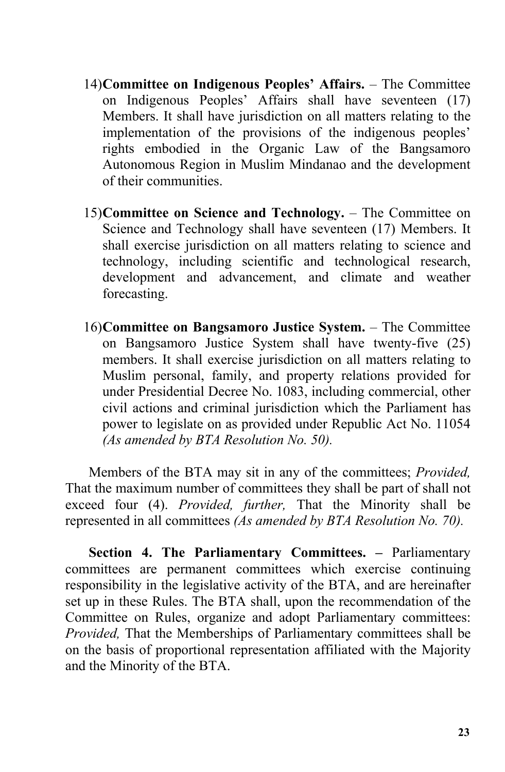- 14)**Committee on Indigenous Peoples' Affairs.** The Committee on Indigenous Peoples' Affairs shall have seventeen (17) Members. It shall have jurisdiction on all matters relating to the implementation of the provisions of the indigenous peoples' rights embodied in the Organic Law of the Bangsamoro Autonomous Region in Muslim Mindanao and the development of their communities.
- 15)**Committee on Science and Technology.** The Committee on Science and Technology shall have seventeen (17) Members. It shall exercise jurisdiction on all matters relating to science and technology, including scientific and technological research, development and advancement, and climate and weather forecasting.
- 16)**Committee on Bangsamoro Justice System.** The Committee on Bangsamoro Justice System shall have twenty-five (25) members. It shall exercise jurisdiction on all matters relating to Muslim personal, family, and property relations provided for under Presidential Decree No. 1083, including commercial, other civil actions and criminal jurisdiction which the Parliament has power to legislate on as provided under Republic Act No. 11054 *(As amended by BTA Resolution No. 50).*

Members of the BTA may sit in any of the committees; *Provided,* That the maximum number of committees they shall be part of shall not exceed four (4). *Provided, further,* That the Minority shall be represented in all committees *(As amended by BTA Resolution No. 70).*

**Section 4. The Parliamentary Committees. –** Parliamentary committees are permanent committees which exercise continuing responsibility in the legislative activity of the BTA, and are hereinafter set up in these Rules. The BTA shall, upon the recommendation of the Committee on Rules, organize and adopt Parliamentary committees: *Provided,* That the Memberships of Parliamentary committees shall be on the basis of proportional representation affiliated with the Majority and the Minority of the BTA.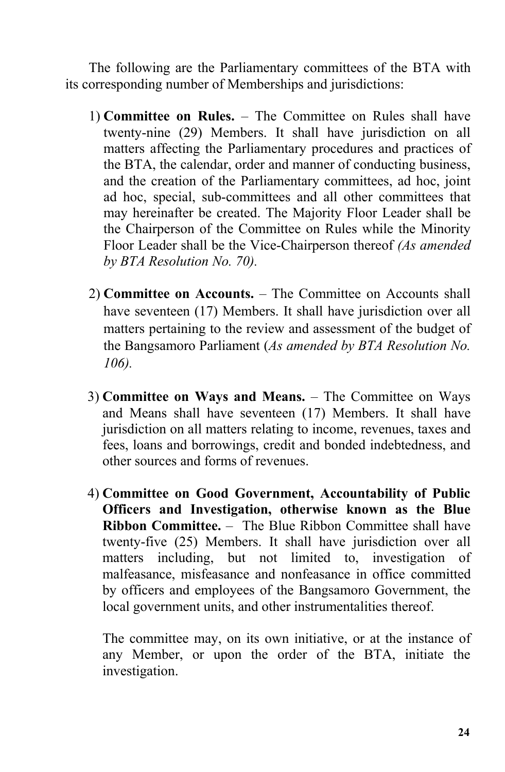The following are the Parliamentary committees of the BTA with its corresponding number of Memberships and jurisdictions:

- 1) **Committee on Rules.** The Committee on Rules shall have twenty-nine (29) Members. It shall have jurisdiction on all matters affecting the Parliamentary procedures and practices of the BTA, the calendar, order and manner of conducting business, and the creation of the Parliamentary committees, ad hoc, joint ad hoc, special, sub-committees and all other committees that may hereinafter be created. The Majority Floor Leader shall be the Chairperson of the Committee on Rules while the Minority Floor Leader shall be the Vice-Chairperson thereof *(As amended by BTA Resolution No. 70).*
- 2) **Committee on Accounts.** The Committee on Accounts shall have seventeen (17) Members. It shall have jurisdiction over all matters pertaining to the review and assessment of the budget of the Bangsamoro Parliament (*As amended by BTA Resolution No. 106).*
- 3) **Committee on Ways and Means.** The Committee on Ways and Means shall have seventeen (17) Members. It shall have jurisdiction on all matters relating to income, revenues, taxes and fees, loans and borrowings, credit and bonded indebtedness, and other sources and forms of revenues.
- 4) **Committee on Good Government, Accountability of Public Officers and Investigation, otherwise known as the Blue Ribbon Committee.** – The Blue Ribbon Committee shall have twenty-five (25) Members. It shall have jurisdiction over all matters including, but not limited to, investigation of malfeasance, misfeasance and nonfeasance in office committed by officers and employees of the Bangsamoro Government, the local government units, and other instrumentalities thereof.

The committee may, on its own initiative, or at the instance of any Member, or upon the order of the BTA, initiate the investigation.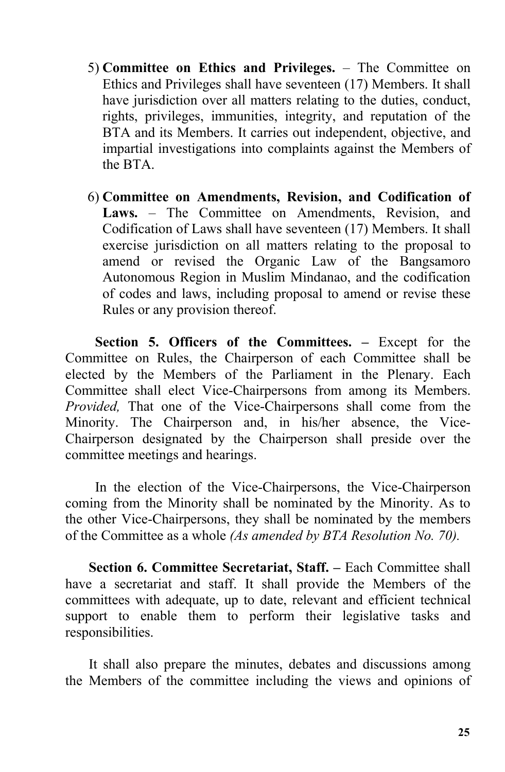- 5) **Committee on Ethicsand Privileges.** The Committee on Ethics and Privileges shall have seventeen (17) Members. It shall have jurisdiction over all matters relating to the duties, conduct, rights, privileges, immunities, integrity, and reputation of the BTA and its Members. It carries out independent, objective, and impartial investigations into complaints against the Members of the BTA.
- 6) **Committee on Amendments, Revision, and Codification of** Laws. – The Committee on Amendments, Revision, and Codification of Laws shall have seventeen (17) Members. It shall exercise jurisdiction on all matters relating to the proposal to amend or revised the Organic Law of the Bangsamoro Autonomous Region in Muslim Mindanao, and the codification of codes and laws, including proposal to amend or revise these Rules or any provision thereof.

**Section 5. Officers of the Committees. –** Except for the Committee on Rules, the Chairperson of each Committee shall be elected by the Members of the Parliament in the Plenary. Each Committee shall elect Vice-Chairpersons from among its Members. *Provided,* That one of the Vice-Chairpersons shall come from the Minority. The Chairperson and, in his/her absence, the Vice- Chairperson designated by the Chairperson shall preside over the committee meetings and hearings.

In the election of the Vice-Chairpersons, the Vice-Chairperson coming from the Minority shall be nominated by the Minority. As to the other Vice-Chairpersons, they shall be nominated by the members of the Committee as a whole *(As amended by BTA Resolution No. 70).*

**Section 6. Committee Secretariat, Staff. –** Each Committee shall have a secretariat and staff. It shall provide the Members of the committees with adequate, up to date, relevant and efficient technical support to enable them to perform their legislative tasks and responsibilities.

It shall also prepare the minutes, debates and discussions among the Members of the committee including the views and opinions of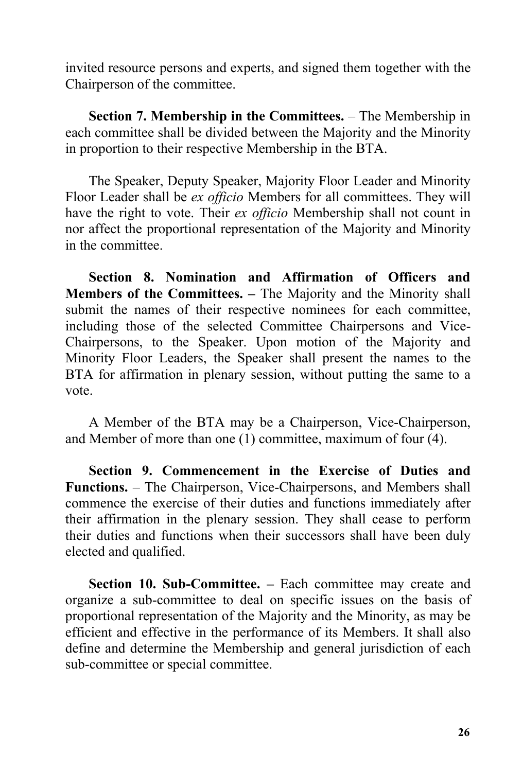invited resource persons and experts, and signed them together with the Chairperson of the committee.

**Section 7. Membership in the Committees.** – The Membership in each committee shall be divided between the Majority and the Minority in proportion to their respective Membership in the BTA.

The Speaker, Deputy Speaker, Majority Floor Leader and Minority Floor Leader shall be *ex officio* Members for all committees. They will have the right to vote. Their *ex officio* Membership shall not count in nor affect the proportional representation of the Majority and Minority in the committee.

**Section 8. Nomination and Affirmation of Officers and Members of the Committees. –** The Majority and the Minority shall submit the names of their respective nominees for each committee, including those of the selected Committee Chairpersons and Vice- Chairpersons, to the Speaker. Upon motion of the Majority and Minority Floor Leaders, the Speaker shall present the names to the BTA for affirmation in plenary session, without putting the same to a

vote.<br>A Member of the BTA may be a Chairperson, Vice-Chairperson, and Member of more than one (1) committee, maximum of four  $(4)$ .

**Section 9. Commencement in the Exercise of Duties and Functions.** – The Chairperson, Vice-Chairpersons, and Members shall commence the exercise of their duties and functions immediately after their affirmation in the plenary session. They shall cease to perform their duties and functions when their successors shall have been duly elected and qualified.

**Section 10. Sub-Committee. –** Each committee may create and organize a sub-committee to deal on specific issues on the basis of proportional representation of the Majority and the Minority, as may be efficient and effective in the performance of its Members. It shall also define and determine the Membership and general jurisdiction of each sub-committee or special committee.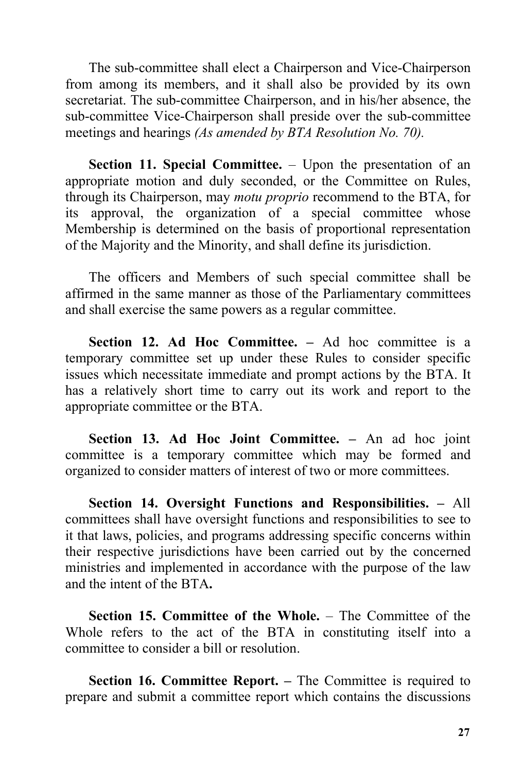The sub-committee shall elect a Chairperson and Vice-Chairperson from among its members, and it shall also be provided by its own secretariat. The sub-committee Chairperson, and in his/her absence, the sub-committee Vice-Chairperson shall preside over the sub-committee meetings and hearings *(As amended by BTA Resolution No. 70).*

**Section 11. Special Committee.** – Upon the presentation of an appropriate motion and duly seconded, or the Committee on Rules, through its Chairperson, may *motu proprio* recommend to the BTA, for its approval, the organization of a special committee whose Membership is determined on the basis of proportional representation of the Majority and the Minority, and shall define its jurisdiction.

The officers and Members of such special committee shall be affirmed in the same manner as those of the Parliamentary committees and shall exercise the same powers as a regular committee.

**Section 12. Ad Hoc Committee. –** Ad hoc committee is a temporary committee set up under these Rules to consider specific issues which necessitate immediate and prompt actions by the BTA. It has a relatively short time to carry out its work and report to the appropriate committee or the BTA.

**Section 13. Ad Hoc Joint Committee. –** An ad hoc joint committee is a temporary committee which may be formed and organized to consider matters of interest of two or more committees.

**Section 14. Oversight Functions and Responsibilities. –** All committees shall have oversight functions and responsibilities to see to it that laws, policies, and programs addressing specific concerns within their respective jurisdictions have been carried out by the concerned ministries and implemented in accordance with the purpose of the law and the intent of the BTA**.**

**Section 15. Committee of the Whole.** – The Committee of the Whole refers to the act of the BTA in constituting itself into a committee to consider a bill or resolution.

**Section 16. Committee Report.–** The Committee is required to prepare and submit a committee report which contains the discussions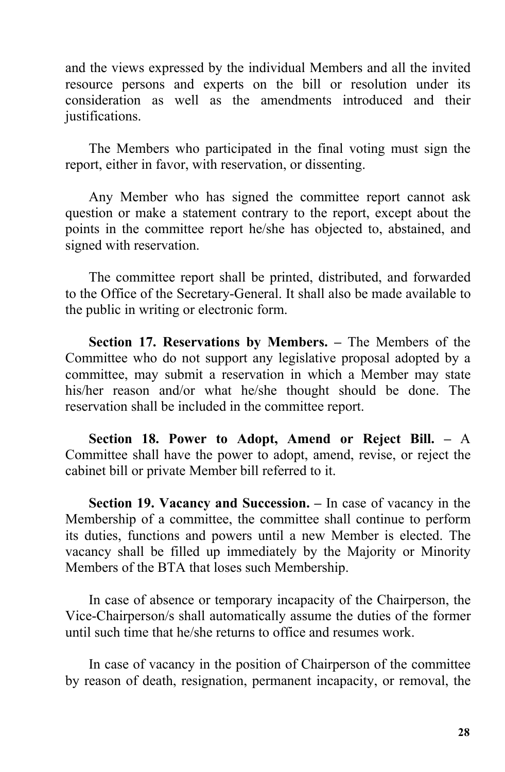and the views expressed by the individual Members and all the invited resource persons and experts on the bill or resolution under its consideration as well as the amendments introduced and their justifications.

The Members who participated in the final voting must sign the report, either in favor, with reservation, or dissenting.

Any Member who has signed the committee report cannot ask question or make a statement contrary to the report, except about the points in the committee report he/she has objected to, abstained, and signed with reservation.

The committee report shall be printed, distributed, and forwarded to the Office of the Secretary-General. It shall also be made available to the public in writing or electronic form.

**Section 17. Reservations by Members.–** The Members of the Committee who do not support any legislative proposal adopted by a committee, may submit a reservation in which a Member may state his/her reason and/or what he/she thought should be done. The reservation shall be included in the committee report.

**Section 18. Power to Adopt, Amend or Reject Bill. –** A Committee shall have the power to adopt, amend, revise, or reject the cabinet bill or private Member bill referred to it.

**Section 19. Vacancy and Succession. –** In case of vacancy in the Membership of a committee, the committee shall continue to perform its duties, functions and powers until a new Member is elected. The vacancy shall be filled up immediately by the Majority or Minority Members of the BTA that loses such Membership.

In case of absence or temporary incapacity of the Chairperson, the Vice-Chairperson/s shall automatically assume the duties of the former until such time that he/she returns to office and resumes work.

In case of vacancy in the position of Chairperson of the committee by reason of death, resignation, permanent incapacity, or removal, the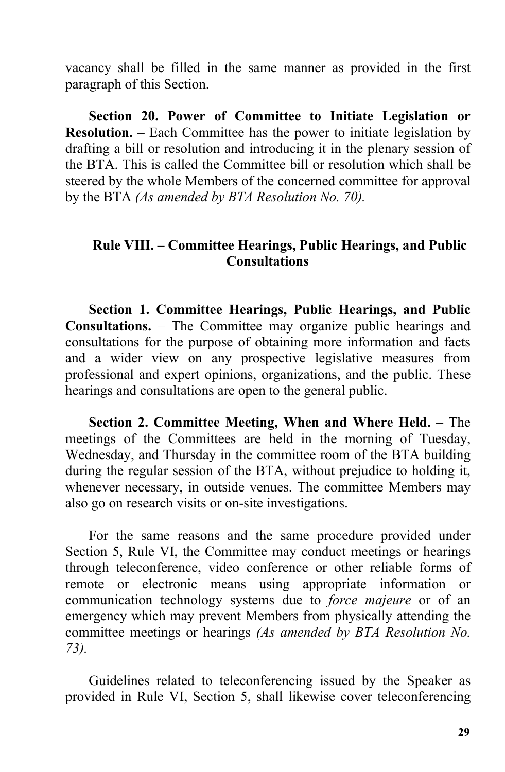vacancy shall be filled in the same manner as provided in the first paragraph of this Section.

**Section 20. Power of Committee to Initiate Legislation or Resolution.** – Each Committee has the power to initiate legislation by drafting a bill or resolution and introducing it in the plenary session of the BTA. This is called the Committee bill or resolution which shall be steered by the whole Members of the concerned committee for approval by the BTA *(As amended by BTA Resolution No. 70).*

## **Rule VIII. – Committee Hearings, Public Hearings, and Public Consultations**

**Section 1. Committee Hearings, Public Hearings, and Public Consultations.** – The Committee may organize public hearings and consultations for the purpose of obtaining more information and facts and a wider view on any prospective legislative measures from professional and expert opinions, organizations, and the public. These hearings and consultations are open to the general public.

**Section 2. Committee Meeting, When and Where Held.** – The meetings of the Committees are held in the morning of Tuesday, Wednesday, and Thursday in the committee room of the BTA building during the regular session of the BTA, without prejudice to holding it, whenever necessary, in outside venues. The committee Members may also go on research visits or on-site investigations.

For the same reasons and the same procedure provided under Section 5, Rule VI, the Committee may conduct meetings or hearings through teleconference, video conference or other reliable forms of remote or electronic means using appropriate information or communication technology systems due to *force majeure* or of an emergency which may prevent Members from physically attending the committee meetings or hearings *(As amended by BTA Resolution No. 73).*

Guidelines related to teleconferencing issued by the Speaker as provided in Rule VI, Section 5, shall likewise cover teleconferencing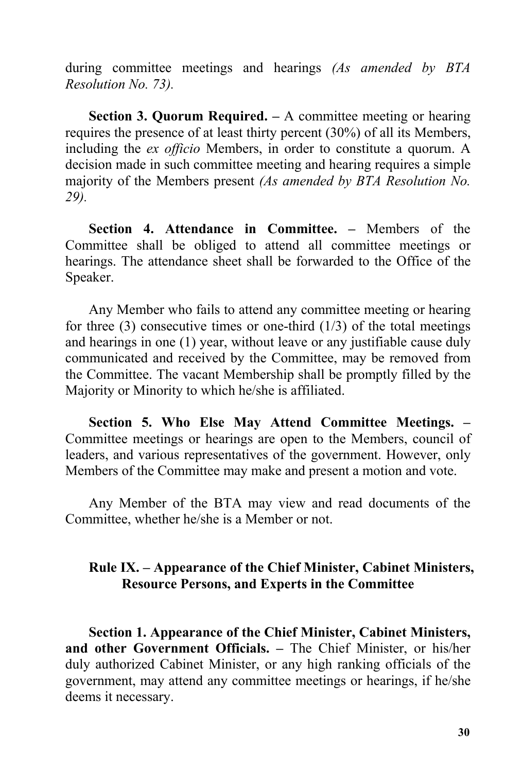during committee meetings and hearings *(As amended by BTA Resolution No. 73).*

**Section 3. Quorum Required. –** A committee meeting or hearing requires the presence of at least thirty percent (30%) of all its Members, including the *ex officio* Members, in order to constitute a quorum. A decision made in such committee meeting and hearing requires a simple majority of the Members present *(As amended by BTA Resolution No. 29).*

**Section 4. Attendance in Committee. –** Members of the Committee shall be obliged to attend all committee meetings or hearings. The attendance sheet shall be forwarded to the Office of the Speaker.

Any Member who fails to attend any committee meeting or hearing for three  $(3)$  consecutive times or one-third  $(1/3)$  of the total meetings and hearings in one  $(1)$  year, without leave or any justifiable cause duly communicated and received by the Committee, may be removed from the Committee. The vacant Membership shall be promptly filled by the Majority or Minority to which he/she is affiliated.

**Section 5. Who Else May Attend Committee Meetings. –** Committee meetings or hearings are open to the Members, council of leaders, and various representatives of the government. However, only Members of the Committee may make and present a motion and vote.

Any Member of the BTA may view and read documents of the Committee, whether he/she is a Member or not.

## **Rule IX. – Appearance of the Chief Minister, Cabinet Ministers, Resource Persons, and Experts in the Committee**

**Section 1. Appearance of the Chief Minister, Cabinet Ministers, and other Government Officials. –** The Chief Minister, or his/her duly authorized Cabinet Minister, or any high ranking officials of the government, may attend any committee meetings or hearings, if he/she deems it necessary.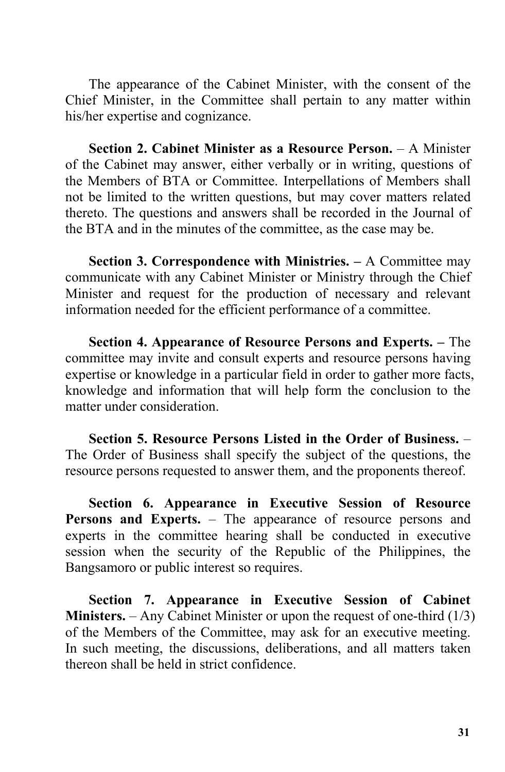The appearance of the Cabinet Minister, with the consent of the Chief Minister, in the Committee shall pertain to any matter within his/her expertise and cognizance.

**Section 2. Cabinet Minister as a Resource Person.** – A Minister of the Cabinet may answer, either verbally or in writing, questions of the Members of BTA or Committee. Interpellations of Members shall not be limited to the written questions, but may cover matters related thereto. The questions and answers shall be recorded in the Journal of the BTA and in the minutes of the committee, as the case may be.

**Section 3. Correspondence with Ministries. –** A Committee may communicate with any Cabinet Minister or Ministry through the Chief Minister and request for the production of necessary and relevant information needed for the efficient performance of a committee.

**Section 4. Appearance of Resource Persons and Experts. –** The committee may invite and consult experts and resource persons having expertise or knowledge in a particular field in order to gather more facts, knowledge and information that will help form the conclusion to the matter under consideration.

**Section 5. Resource Persons Listed in the Order of Business.** – The Order of Business shall specify the subject of the questions, the resource persons requested to answer them, and the proponents thereof.

**Section 6. Appearance in Executive Session of Resource Persons and Experts.** – The appearance of resource persons and experts in the committee hearing shall be conducted in executive session when the security of the Republic of the Philippines, the Bangsamoro or public interest so requires.

**Section 7. Appearance in Executive Session of Cabinet Ministers.** – Any Cabinet Minister or upon the request of one-third  $(1/3)$ of the Members of the Committee, may ask foran executive meeting. In such meeting, the discussions, deliberations, and all matters taken thereon shall be held in strict confidence.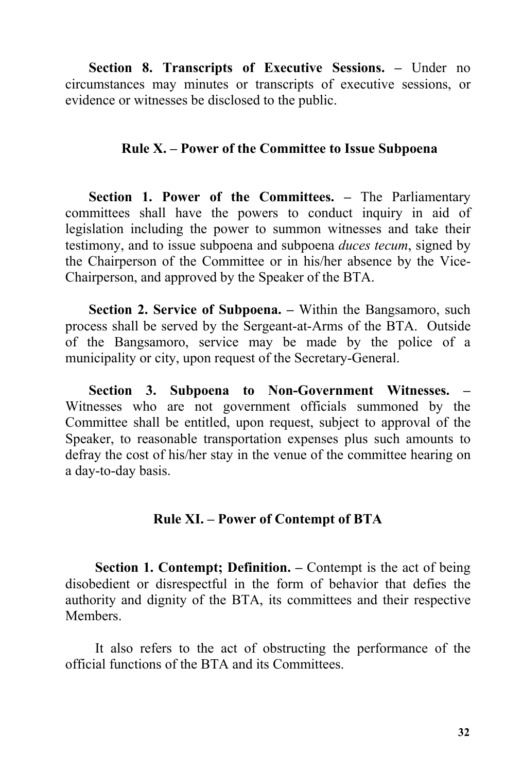**Section 8. Transcripts of Executive Sessions. –** Underno circumstances may minutes or transcripts of executive sessions, or evidence or witnesses be disclosed to the public.

### **Rule X. – Power of the Committee to Issue Subpoena**

**Section 1. Power of the Committees. –** The Parliamentary committees shall have the powers to conduct inquiry in aid of legislation including the power to summon witnesses and take their testimony, and to issue subpoena and subpoena *duces tecum*, signed by the Chairperson of the Committee or in his/her absence by the Vice- Chairperson, and approved by the Speaker of the BTA.

**Section 2. Service of Subpoena. –** Within the Bangsamoro, such process shall be served by the Sergeant-at-Arms of the BTA. Outside of the Bangsamoro, service may be made by the police of a municipality or city, upon request of the Secretary-General.

**Section 3. Subpoena to Non-Government Witnesses. –** Witnesses who are not government officials summoned by the Committee shall be entitled, upon request, subject to approval of the Speaker, to reasonable transportation expenses plus such amounts to defray the cost of his/her stay in the venue of the committee hearing on a day-to-day basis.

# **Rule XI. – Power of Contempt of BTA**

**Section 1. Contempt; Definition. –** Contemptis the act of being disobedient or disrespectful in the form of behavior that defies the authority and dignity of the BTA, its committees and their respective Members.

It also refers to the act of obstructing the performance of the official functions ofthe BTA and its Committees.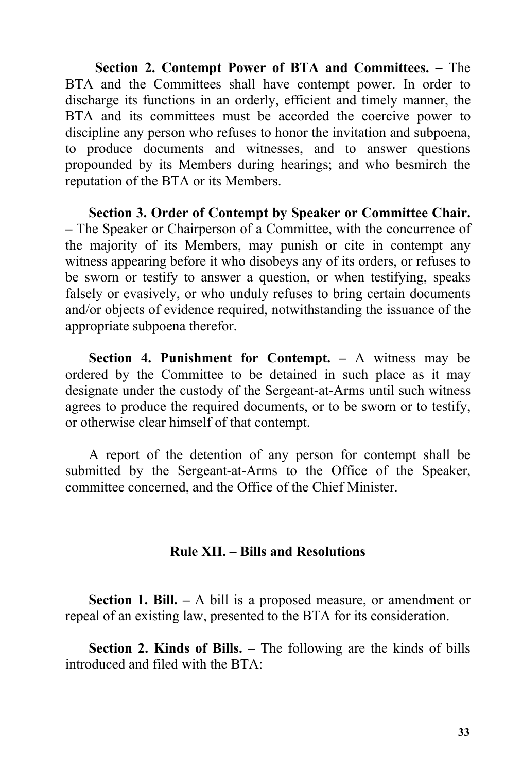**Section 2. Contempt Power of BTA and Committees. –** The BTA and the Committees shall have contempt power. In order to discharge its functions in an orderly, efficient and timely manner, the BTA and its committees must be accorded the coercive power to discipline any person who refuses to honor the invitation and subpoena, to produce documents and witnesses, and to answer questions propounded by its Members during hearings; and who besmirch the reputation of the BTA or its Members.

**Section 3. Order of Contempt by Speaker or Committee Chair. –** The Speaker or Chairperson of a Committee, with the concurrence of the majority of its Members, may punish or cite in contempt any witness appearing before it who disobeys any of its orders, or refuses to be sworn or testify to answer a question, or when testifying, speaks falsely or evasively, or who unduly refuses to bring certain documents and/or objects of evidence required, notwithstanding the issuance of the appropriate subpoena therefor.

**Section 4. Punishment for Contempt. –** A witness may be ordered by the Committee to be detained in such place as it may designate under the custody of the Sergeant-at-Arms until such witness agrees to produce the required documents, or to be sworn or to testify, or otherwise clear himself of that contempt.

A report of the detention of any person for contempt shall be submitted by the Sergeant-at-Arms to the Office of the Speaker, committee concerned, and the Office of the Chief Minister.

#### **Rule XII. – Billsand Resolutions**

**Section 1. Bill. –** A bill is a proposed measure, or amendment or repeal of an existing law, presented to the BTA for its consideration.

**Section 2. Kinds of Bills.** – The following are the kinds of bills introduced and filed with the BTA: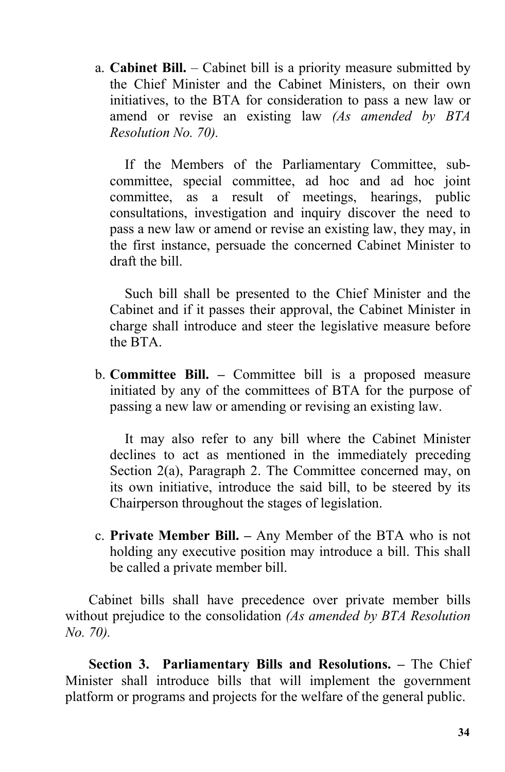a. **Cabinet Bill.** – Cabinet bill is a priority measure submitted by the Chief Minister and the Cabinet Ministers, on their own initiatives, to the BTA for consideration to passa new law or amend or revise an existing law *(As amended by BTA Resolution No. 70).*

If the Members of the Parliamentary Committee, sub committee, special committee, ad hoc and ad hoc joint committee, as a result of meetings, hearings, public consultations, investigation and inquiry discover the need to pass a new law or amend or revise an existing law, they may, in the first instance, persuade the concerned Cabinet Minister to draft the bill.

Such bill shall be presented to the Chief Minister and the Cabinet and if it passes their approval, the Cabinet Minister in charge shall introduce and steer the legislative measure before the BTA.

b. **Committee Bill. –** Committee bill is a proposed measure initiated by any of the committees of BTA for the purpose of passing a new law or amending or revising an existing law.

It may also refer to any bill where the Cabinet Minister declines to act as mentioned in the immediately preceding Section 2(a), Paragraph 2. The Committee concerned may, on its own initiative, introduce the said bill, to be steered by its Chairperson throughout the stages of legislation.

c. **Private Member Bill. –** Any Member of the BTA who is not holding any executive position may introduce a bill. This shall be called a private member bill.

Cabinet bills shall have precedence over private member bills without prejudice to the consolidation *(As amended by BTA Resolution No. 70).*

**Section 3. Parliamentary Bills and Resolutions. –** The Chief Minister shall introduce bills that will implement the government platform or programs and projects for the welfare of the general public.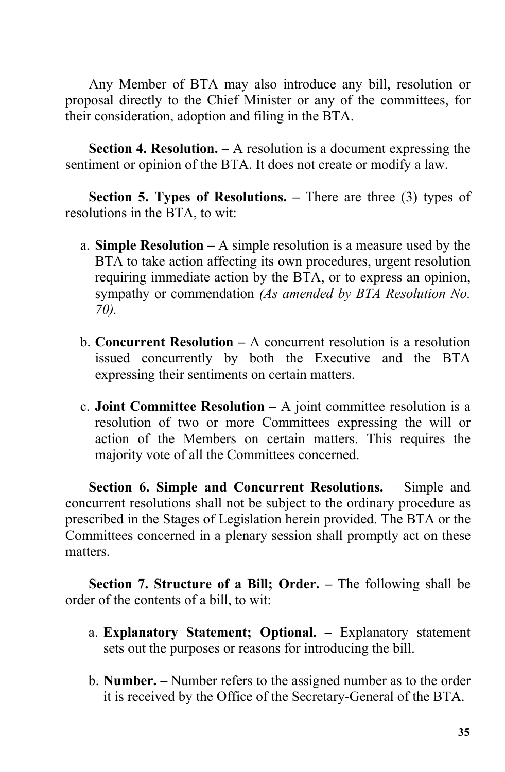Any Member of BTA may also introduce any bill, resolution or proposal directly to the Chief Minister or any of the committees, for their consideration, adoption and filing in the BTA.

**Section 4. Resolution. –** A resolution is a document expressing the sentiment or opinion of the BTA. It does not create or modify a law.

**Section 5. Types of Resolutions. –** There are three (3) types of resolutions in the BTA, to wit:

- a. **Simple Resolution –** A simple resolution is a measure used by the BTA to take action affecting its own procedures, urgent resolution requiring immediate action by the BTA, or to express an opinion, sympathy or commendation *(As amended by BTA Resolution No. 70).*
- b. **Concurrent Resolution –** A concurrent resolution is a resolution issued concurrently by both the Executive and the BTA expressing their sentiments on certain matters.
- c. **Joint Committee Resolution –** A joint committee resolution is a resolution of two or more Committees expressing the will or action of the Members on certain matters. This requires the majority vote of all the Committees concerned.

**Section 6. Simple and Concurrent Resolutions.** – Simple and concurrent resolutions shall not be subject to the ordinary procedure as prescribed in the Stages of Legislation herein provided. The BTA or the Committees concerned in a plenary session shall promptly act on these matters.

**Section 7. Structure of a Bill; Order. –** The following shall be order of the contents of a bill, to wit:

- a. **Explanatory Statement; Optional. –** Explanatory statement sets out the purposes or reasons for introducing the bill.
- b. **Number. –** Number refers to the assigned number as to the order it is received by the Office of the Secretary-General of the BTA.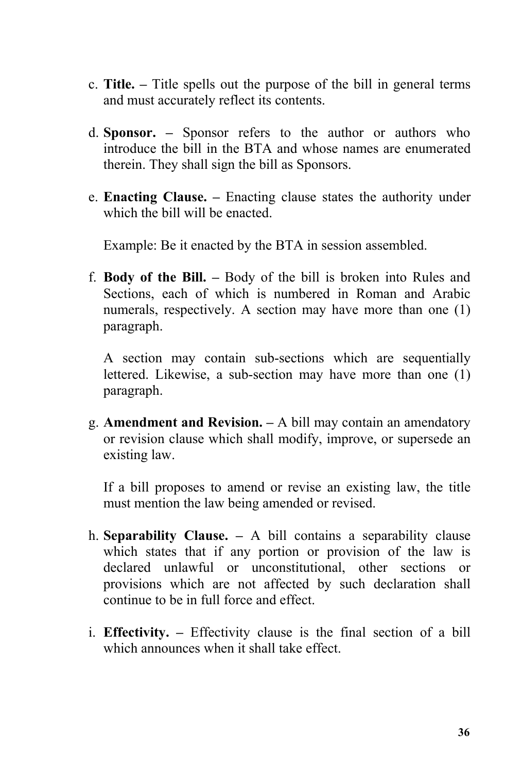- c. **Title. –** Title spells out the purpose of the bill in general terms and must accurately reflect its contents.
- d. **Sponsor. –** Sponsor refers to the author or authors who introduce the bill in the BTA and whose names are enumerated therein. They shall sign the bill as Sponsors.
- e. **Enacting Clause. –** Enacting clause states the authority under which the bill will be enacted.

Example: Be it enacted by the BTA in session assembled.

f. **Body of the Bill. –** Body of the bill is broken into Rules and Sections, each of which is numbered in Roman and Arabic numerals, respectively. A section may have more than one (1) paragraph.

A section may contain sub-sections which are sequentially lettered. Likewise, a sub-section may have more than one (1) paragraph.

g. **Amendment and Revision. –** A bill may contain an amendatory or revision clause which shall modify, improve, or supersede an existing law.

If a bill proposes to amend or revise an existing law, the title must mention the law being amended or revised.

- h. **Separability Clause. –** A bill contains a separability clause which states that if any portion or provision of the law is declared unlawful or unconstitutional, other sections or provisions which are not affected by such declaration shall continue to be in full force and effect.
- i. **Effectivity. –** Effectivity clause is the final section of a bill which announces when it shall take effect.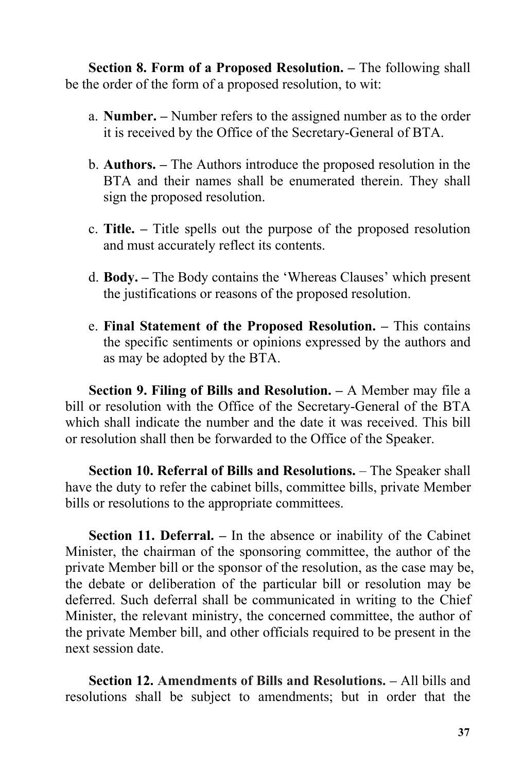**Section 8. Form of a Proposed Resolution. –** The following shall be the order of the form of a proposed resolution, to wit:

- a. **Number. –** Number refers to the assigned number as to the order it is received by the Office of the Secretary-General of BTA.
- b. **Authors. –** The Authors introduce the proposed resolution in the BTA and their names shall be enumerated therein. They shall sign the proposed resolution.
- c. **Title. –** Title spells out the purpose of the proposed resolution and must accurately reflect its contents.
- d. **Body. –** The Body contains the 'Whereas Clauses' which present the justifications or reasons of the proposed resolution.
- e. **Final Statement of the Proposed Resolution. –** This contains the specific sentiments or opinions expressed by the authors and as may be adopted by the BTA.

**Section 9. Filing of Bills and Resolution. –** A Member may file a bill or resolution with the Office of the Secretary-General of the BTA which shall indicate the number and the date it was received. This bill or resolution shall then be forwarded to the Office of the Speaker.

**Section 10. Referral of Bills and Resolutions.** – The Speaker shall have the duty to refer the cabinet bills, committee bills, private Member bills or resolutions to the appropriate committees.

**Section 11. Deferral. –** In the absence or inability of the Cabinet Minister, the chairman of the sponsoring committee, the author of the private Member bill or the sponsor of the resolution, as the case may be, the debate or deliberation of the particular bill or resolution may be deferred. Such deferral shall be communicated in writing to the Chief Minister, the relevant ministry, the concerned committee, the author of the private Member bill, and other officials required to be present in the next session date.

**Section 12. Amendments of Bills and Resolutions. –** All bills and resolutions shall be subject to amendments; but in order that the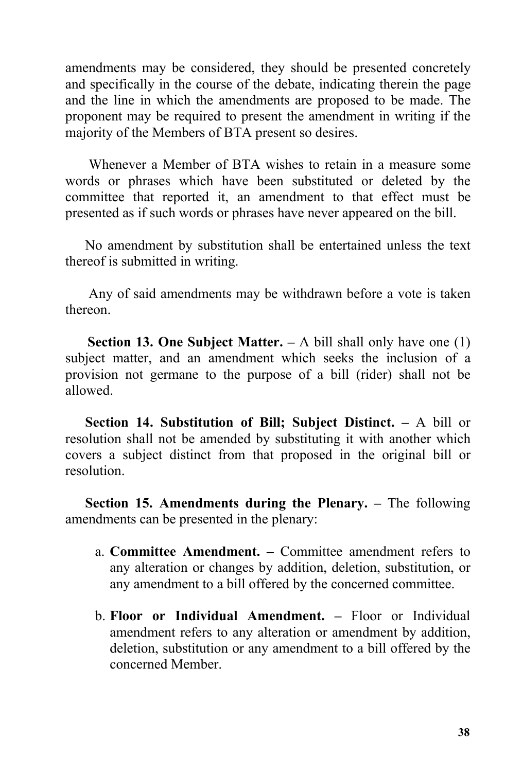amendments may be considered, they should be presented concretely and specifically in the course of the debate, indicating therein the page and the line in which the amendments are proposed to be made. The proponent may be required to present the amendment in writing if the majority of the Members of BTA present so desires.

Whenever a Member of BTA wishes to retain in a measure some words or phrases which have been substituted or deleted by the committee that reported it, an amendment to that effect must be presented as if such words or phrases have never appeared on the bill.

No amendment by substitution shall be entertained unless the text thereof is submitted in writing.

Any of said amendments may be withdrawn before a vote is taken thereon.

**Section 13. One Subject Matter. –** A bill shall only have one (1) subject matter, and an amendment which seeks the inclusion of a provision not germane to the purpose of a bill (rider) shall not be allowed.

**Section 14. Substitution of Bill; Subject Distinct. –** A bill or resolution shall not be amended by substituting it with another which covers a subject distinct from that proposed in the original bill or resolution.

**Section 15. Amendments during the Plenary. –** The following amendments can be presented in the plenary:

- a. **Committee Amendment. –** Committee amendment refers to any alteration or changes by addition, deletion, substitution, or any amendment to a bill offered by the concerned committee.
- b. **Floor or Individual Amendment. –** Floor or Individual amendment refers to any alteration or amendment by addition, deletion, substitution or any amendment to a bill offered by the concerned Member.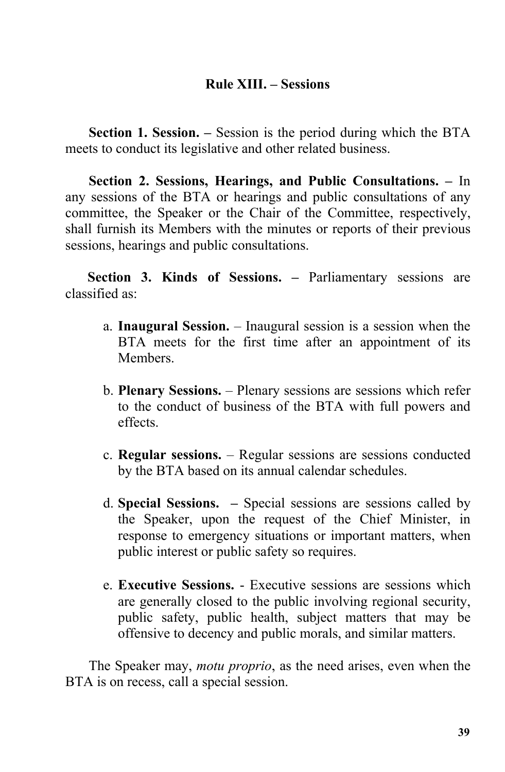## **Rule XIII. – Sessions**

**Section 1. Session. –** Session is the period during which the BTA meets to conduct its legislative and other related business.

**Section 2. Sessions, Hearings, and Public Consultations. –** In any sessions of the BTA or hearings and public consultations of any committee, the Speaker or the Chair of the Committee, respectively, shall furnish its Members with the minutes or reports of their previous sessions, hearings and public consultations.

**Section 3. Kinds of Sessions. –** Parliamentary sessions are classified as:

- a. **Inaugural Session.** Inaugural session is a session when the BTA meets for the first time after an appointment of its Members.
- b. **Plenary Sessions.** Plenary sessions are sessions which refer to the conduct of business of the BTA with full powers and effects.
- c. **Regular sessions.** Regular sessions are sessions conducted by the BTA based on its annual calendar schedules.
- d. **Special Sessions. –** Special sessions are sessions called by the Speaker, upon the request of the Chief Minister, in response to emergency situations or important matters, when public interest or public safety so requires.
- e. **Executive Sessions.** Executive sessions are sessions which are generally closed to the public involving regional security, public safety, public health, subject matters that may be offensive to decency and public morals, and similar matters.

The Speaker may, *motu proprio*, as the need arises, even when the BTA is on recess, call a special session.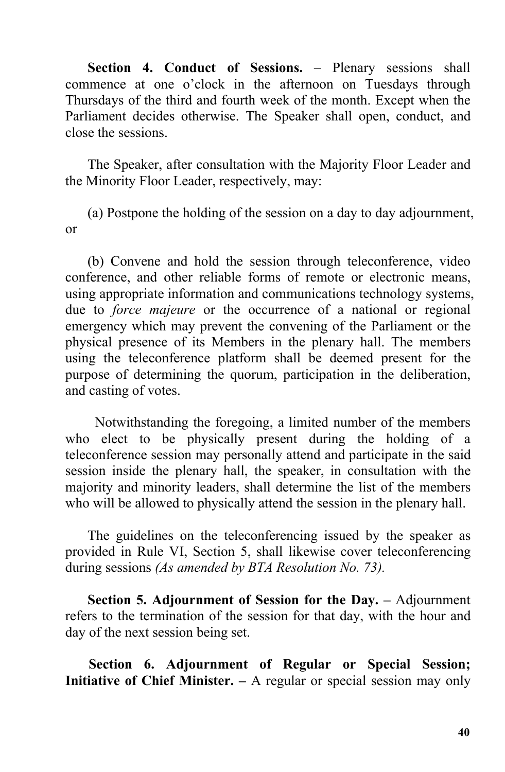**Section 4. Conduct of Sessions.** – Plenary sessions shall commence at one o'clock in the afternoon on Tuesdays through Thursdays of the third and fourth week of the month. Except when the Parliament decides otherwise. The Speaker shall open, conduct, and close the sessions.

The Speaker, after consultation with the Majority Floor Leader and the Minority Floor Leader, respectively, may:

(a) Postpone the holding of the session on a day to day adjournment, or

(b) Convene and hold the session through teleconference, video conference, and other reliable forms of remote or electronic means, using appropriate information and communications technology systems, due to *force majeure* or the occurrence of a national or regional emergency which may prevent the convening of the Parliament or the physical presence of its Members in the plenary hall. The members using the teleconference platform shall be deemed present for the purpose of determining the quorum, participation in the deliberation, and casting of votes.

Notwithstanding the foregoing, a limited number of the members who elect to be physically present during the holding of a teleconference session may personally attend and participate in the said session inside the plenary hall, the speaker, in consultation with the majority and minority leaders, shall determine the list of the members who will be allowed to physically attend the session in the plenary hall.

The guidelines on the teleconferencing issued by the speaker as provided in Rule VI, Section 5, shall likewise cover teleconferencing during sessions *(As amended by BTA Resolution No. 73).*

**Section 5. Adjournment of Session for the Day. –** Adjournment refers to the termination of the session for that day, with the hour and day of the next session being set.

**Section 6. Adjournment of Regular or Special Session; Initiative of Chief Minister. –** A regular or special session may only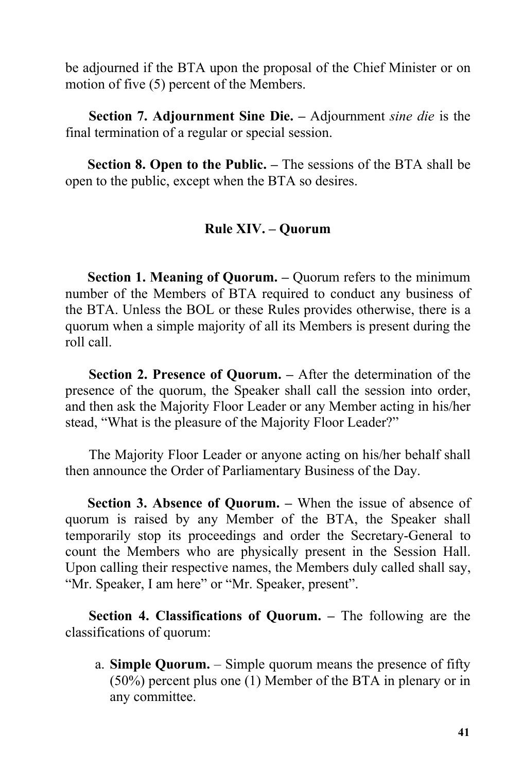be adjourned if the BTA upon the proposal of the Chief Minister or on motion of five (5) percent of the Members.

**Section 7. Adjournment Sine Die.** – Adjournment *sine die* is the final termination of a regular or special session.

**Section 8. Open to the Public.** – The sessions of the BTA shall be open to the public, except when the BTA so desires.

## **Rule XIV. – Quorum**

**Section 1. Meaning of Quorum. –** Quorum refers to the minimum number of the Members of BTA required to conduct any business of the BTA. Unless the BOL or these Rules provides otherwise, there is a quorum when a simple majority of all its Members is present during the roll call.

**Section 2. Presence of Quorum. –** After the determination of the presence of the quorum, the Speaker shall call the session into order, and then ask the Majority Floor Leader or any Member acting in his/her stead, "What is the pleasure of the Majority Floor Leader?"

The Majority Floor Leader or anyone acting on his/her behalf shall then announce the Order of Parliamentary Business of the Day.

**Section 3. Absence of Quorum. –** When the issue of absence of quorum is raised by any Member of the BTA, the Speaker shall temporarily stop its proceedings and order the Secretary-General to count the Members who are physically present in the Session Hall. Upon calling their respective names, the Members duly called shall say, "Mr. Speaker, I am here" or "Mr. Speaker, present".

**Section 4. Classifications of Quorum. –** The following are the classifications of quorum:

a. **Simple Quorum.** – Simple quorum means the presence of fifty (50%) percent plus one (1) Member of the BTA in plenary or in any committee.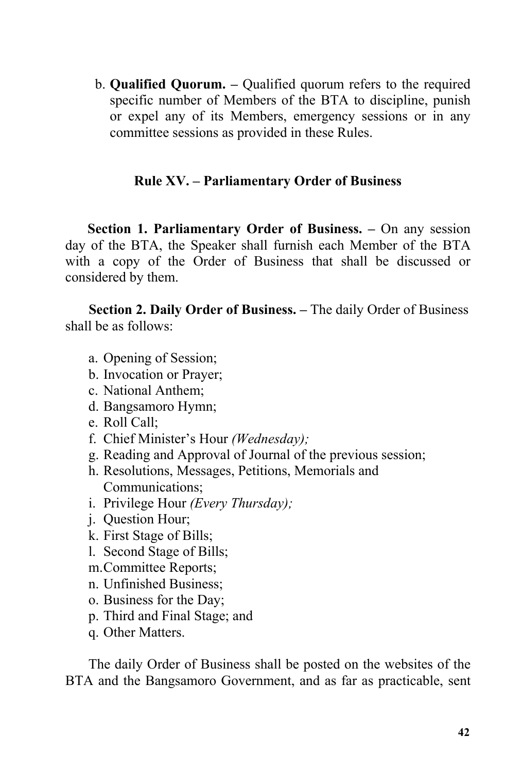b. **Qualified Quorum. –** Qualified quorum refers to the required specific number of Members of the BTA to discipline, punish or expel any of its Members, emergency sessions or in any committee sessions as provided in these Rules.

## **Rule XV. – Parliamentary Order of Business**

**Section 1. Parliamentary Order of Business. –** On any session day of the BTA, the Speaker shall furnish each Member of the BTA with a copy of the Order of Business that shall be discussed or considered by them.

**Section 2. Daily Order of Business. –** The daily Order of Business shall be as follows:

- a. Opening of Session;
- b. Invocation or Prayer;
- c. National Anthem;
- d. Bangsamoro Hymn;
- e. Roll Call;
- f. Chief Minister's Hour *(Wednesday);*
- g. Reading and Approval of Journal of the previous session;
- h. Resolutions, Messages, Petitions, Memorials and Communications;
- i. Privilege Hour *(Every Thursday);*
- j. Question Hour;
- k. First Stage of Bills;
- l. Second Stage of Bills;
- m.Committee Reports;
- n. Unfinished Business;
- o. Business for the Day;
- p. Third and Final Stage; and
- q. Other Matters.

The daily Order of Business shall be posted on the websites of the BTA and the Bangsamoro Government, and as far as practicable, sent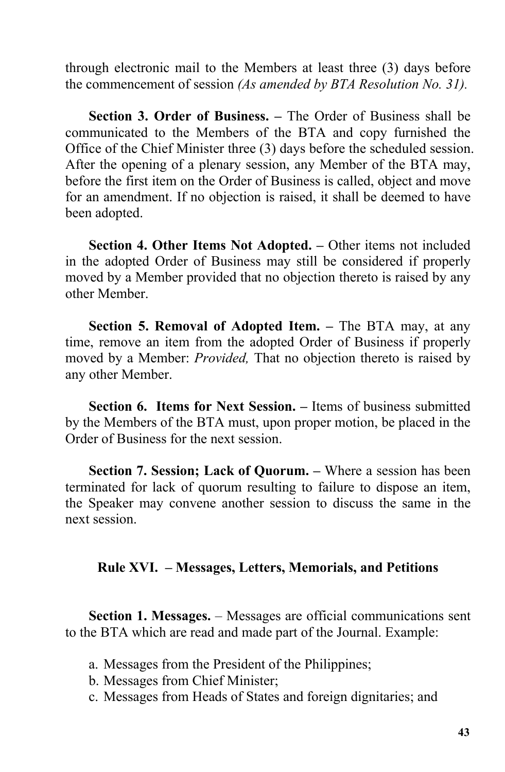through electronic mail to the Members at least three (3) days before the commencement of session *(As amended by BTA Resolution No. 31).*

**Section 3. Order of Business. –** The Order of Business shall be communicated to the Members of the BTA and copy furnished the Office of the Chief Minister three (3) days before the scheduled session. After the opening of a plenary session, any Member of the BTA may, before the first item on the Order of Business is called, object and move for an amendment. If no objection is raised, it shall be deemed to have been adopted.

**Section 4. Other Items Not Adopted. –** Other items not included in the adopted Order of Business may still be considered if properly moved by a Member provided that no objection thereto is raised by any other Member.

**Section 5. Removal of Adopted Item. – The BTA may, at any** time, remove an item from the adopted Order of Business if properly moved by a Member: *Provided,* That no objection thereto is raised by any other Member.

**Section 6. Items for Next Session. –** Items of business submitted by the Members of the BTA must, upon proper motion, be placed in the Order of Business for the next session.

**Section 7. Session; Lack of Quorum. –** Where a session has been terminated for lack of quorum resulting to failure to dispose an item, the Speaker may convene another session to discuss the same in the next session.

## **Rule XVI. – Messages, Letters, Memorials, and Petitions**

**Section 1. Messages.** – Messages are official communications sent to the BTA which are read and made part of the Journal. Example:

- a. Messages from the President of the Philippines;
- b. Messages from Chief Minister;
- c. Messages from Heads of States and foreign dignitaries; and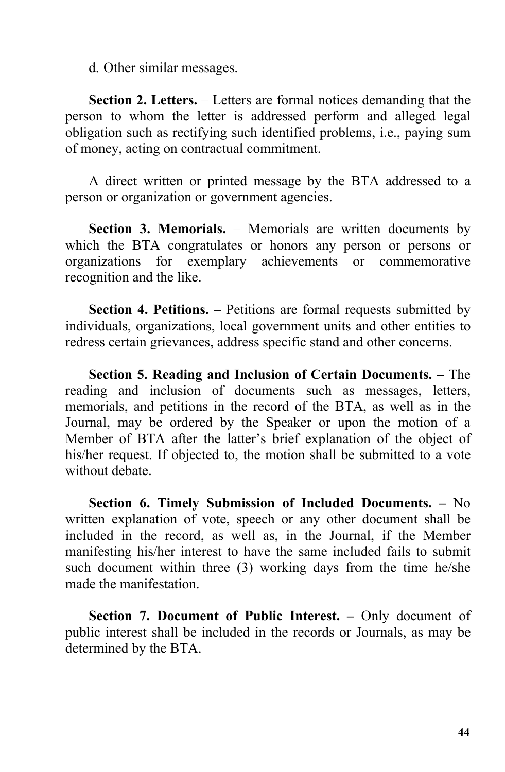d. Other similar messages.

**Section 2. Letters.** – Letters are formal notices demanding that the person to whom the letter is addressed perform and alleged legal obligation such as rectifying such identified problems, i.e., paying sum of money, acting on contractual commitment.

A direct written or printed message by the BTA addressed to a person or organization or government agencies.

**Section 3. Memorials.** – Memorials are written documents by which the BTA congratulates or honors any person or persons or organizations for exemplary achievements or commemorative recognition and the like.

**Section 4. Petitions.** – Petitions are formal requests submitted by individuals, organizations, local government units and other entities to redress certain grievances, address specific stand and other concerns.

**Section 5. Reading and Inclusion of Certain Documents. –** The reading and inclusion of documents such as messages, letters, memorials, and petitions in the record of the BTA, as well as in the Journal, may be ordered by the Speaker or upon the motion of a Member of BTA after the latter's brief explanation of the object of his/her request. If objected to, the motion shall be submitted to a vote without debate.

**Section 6. Timely Submission of Included Documents. –** No written explanation of vote, speech or any other document shall be included in the record, as well as, in the Journal, if the Member manifesting his/her interest to have the same included fails to submit such document within three (3) working days from the time he/she made the manifestation.

**Section 7. Document of Public Interest. –** Only document of public interest shall be included in the records or Journals, as may be determined by the BTA.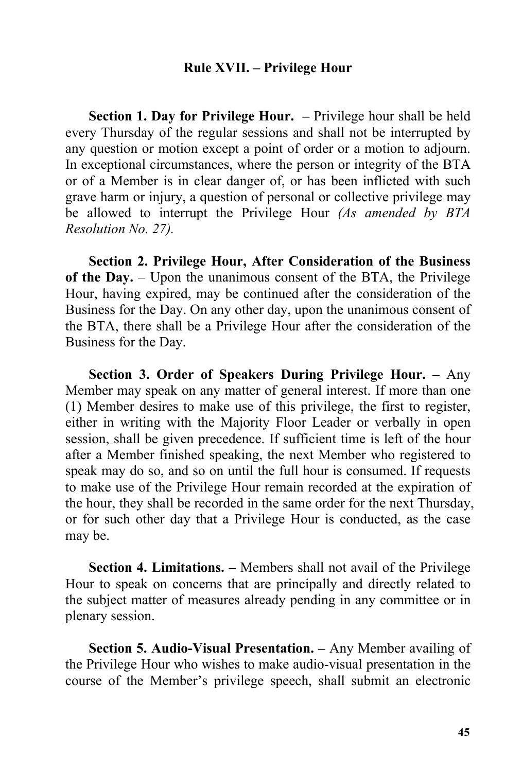#### **Rule XVII. – Privilege Hour**

**Section 1. Day for Privilege Hour. –** Privilege hour shall be held every Thursday of the regular sessions and shall not be interrupted by any question or motion except a point of order or a motion to adjourn. In exceptional circumstances, where the person or integrity of the BTA or of a Member is in clear danger of, or has been inflicted with such grave harm or injury, a question of personal or collective privilege may be allowed to interrupt the Privilege Hour *(As amended by BTA Resolution No. 27).*

**Section 2. Privilege Hour, After Consideration of the Business of the Day.** – Upon the unanimous consent of the BTA, the Privilege Hour, having expired, may be continued after the consideration of the Business for the Day. On any other day, upon the unanimous consent of the BTA, there shall be a Privilege Hour after the consideration of the Business for the Day.

**Section 3. Order of Speakers During Privilege Hour. –** Any Member may speak on any matter of general interest. If more than one (1) Member desires to make use of this privilege, the first to register, either in writing with the Majority Floor Leader or verbally in open session, shall be given precedence. If sufficient time is left of the hour after a Member finished speaking, the next Member who registered to speak may do so, and so on until the full hour is consumed. If requests to make use of the Privilege Hour remain recorded at the expiration of the hour, they shall be recorded in the same order for the next Thursday, or for such other day that a Privilege Hour is conducted, as the case may be.

**Section 4. Limitations. –** Members shall not avail of the Privilege Hour to speak on concerns that are principally and directly related to the subject matter of measures already pending in any committee or in plenary session.

**Section 5. Audio-Visual Presentation. –** Any Member availing of the Privilege Hour who wishes to make audio-visual presentation in the course of the Member's privilege speech, shall submit an electronic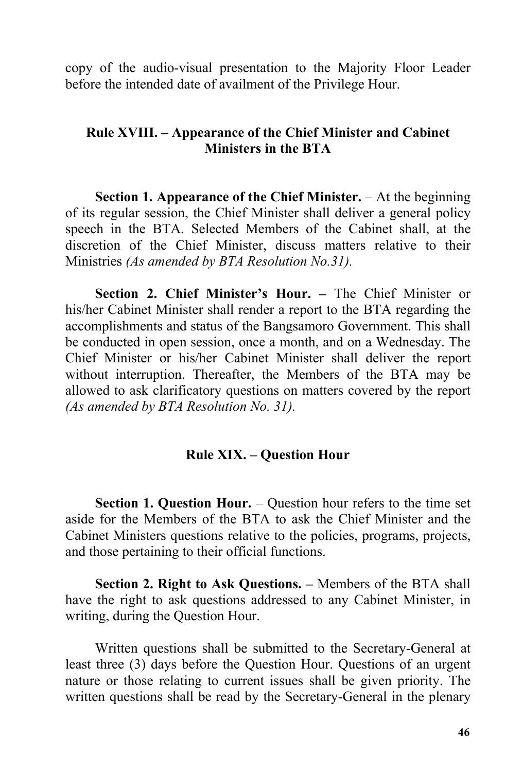copy of the audio-visual presentation to the Majority Floor Leader before the intended date of availment of the Privilege Hour.

## **Rule XVIII. – Appearance of the Chief Minister and Cabinet Ministers in the BTA**

**Section 1. Appearance of the Chief Minister.** – At the beginning of its regular session, the Chief Minister shall deliver a general policy speech in the BTA. Selected Members of the Cabinet shall, at the discretion of the Chief Minister, discuss matters relative to their Ministries *(As amended by BTA Resolution No.31).*

**Section 2. Chief Minister's Hour.** – The Chief Minister or his/her Cabinet Minister shall render a report to the BTA regarding the accomplishments and status of the Bangsamoro Government. This shall be conducted in open session, once a month, and on a Wednesday. The Chief Minister or his/her Cabinet Minister shall deliver the report without interruption. Thereafter, the Members of the BTA may be allowed to ask clarificatory questions on matters covered by the report *(As amended by BTA Resolution No. 31).*

#### **Rule XIX. – Question Hour**

**Section 1. Question Hour.** – Question hour refers to the time set aside for the Members of the BTA to ask the Chief Minister and the Cabinet Ministers questions relative to the policies, programs, projects, and those pertaining to their official functions.

**Section 2. Right to Ask Questions. –** Members of the BTA shall have the right to ask questions addressed to any Cabinet Minister, in writing, during the Question Hour.

Written questions shall be submitted to the Secretary-General at least three (3) days before the Question Hour. Questions of an urgent nature or those relating to current issues shall be given priority. The written questions shall be read by the Secretary-General in the plenary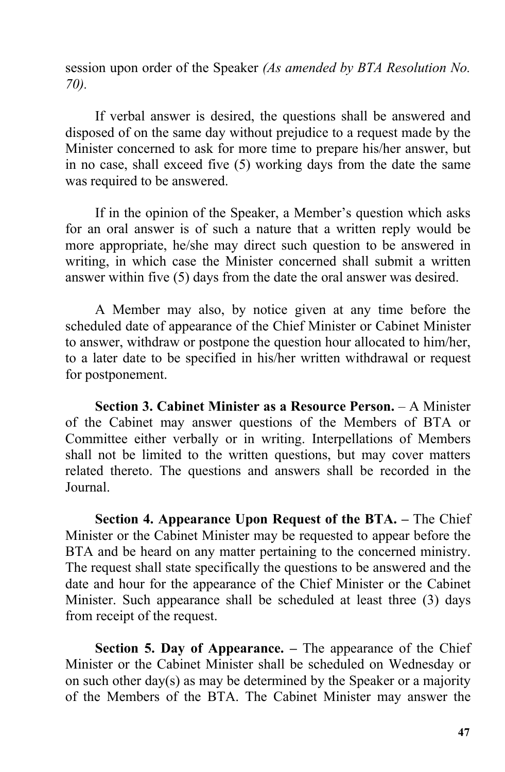session upon order of the Speaker *(As amended by BTA Resolution No. 70).*

If verbal answer is desired, the questions shall be answered and disposed of on the same day without prejudice to a requestmade by the Minister concerned to ask for more time to prepare his/her answer, but in no case, shall exceed five (5) working days from the date the same was required to be answered.

If in the opinion of the Speaker, a Member's question which asks for an oral answer is of such a nature that a written reply would be more appropriate, he/she may direct such question to be answered in writing, in which case the Minister concerned shall submit a written answer within five (5) days from the date the oral answer was desired.

A Member may also, by notice given at any time before the scheduled date of appearance of the Chief Minister or Cabinet Minister to answer, withdraw or postpone the question hour allocated to him/her, to a later date to be specified in his/her written withdrawal or request for postponement.

**Section 3. Cabinet Minister as a Resource Person.** – A Minister of the Cabinet may answer questions of the Members of BTA or Committee either verbally or in writing. Interpellations of Members shall not be limited to the written questions, but may cover matters related thereto. The questions and answers shall be recorded in the Journal.

**Section 4. Appearance Upon Request of the BTA. –** The Chief Minister or the Cabinet Minister may be requested to appear before the BTA and be heard on any matter pertaining to the concerned ministry. The request shall state specifically the questions to be answered and the date and hour for the appearance of the Chief Minister or the Cabinet Minister. Such appearance shall be scheduled at least three (3) days from receipt of the request.

**Section 5. Day of Appearance. –** The appearance of the Chief Minister or the Cabinet Minister shall be scheduled on Wednesday or on such other day(s) as may be determined by the Speaker or a majority of the Members of the BTA. The Cabinet Minister may answer the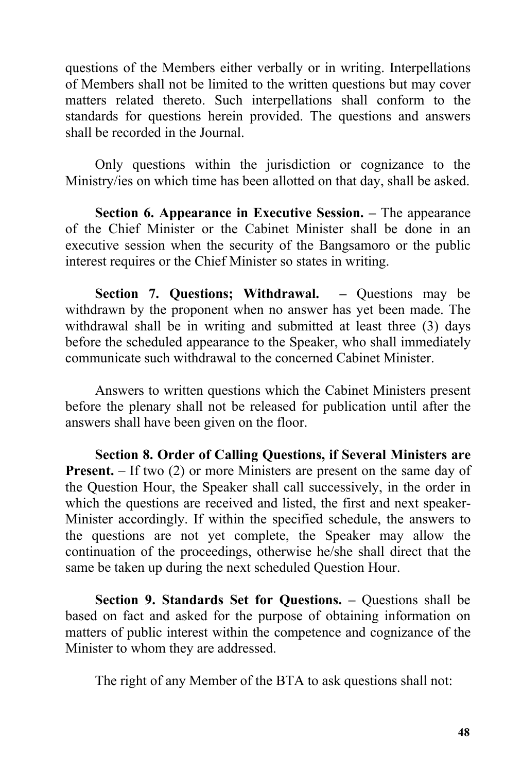questions of the Members either verbally or in writing. Interpellations of Members shall not be limited to the written questions but may cover matters related thereto. Such interpellations shall conform to the standards for questions herein provided. The questions and answers shall be recorded in the Journal.

Only questions within the jurisdiction or cognizance to the Ministry/ies on which time has been allotted on that day, shall be asked.

**Section 6. Appearance in Executive Session. –** The appearance of the Chief Minister or the Cabinet Minister shall be done in an executive session when the security of the Bangsamoro or the public interest requires or the Chief Minister so states in writing.

**Section 7. Questions; Withdrawal. –** Questions may be withdrawn by the proponent when no answer has yet been made. The withdrawal shall be in writing and submitted at least three (3) days before the scheduled appearance to the Speaker, who shall immediately communicate such withdrawal to the concerned Cabinet Minister.

Answers to written questions which the Cabinet Ministers present before the plenary shall not be released for publication until after the answers shall have been given on the floor.

**Section 8. Order of Calling Questions,if Several Ministers are Present.** – If two (2) or more Ministers are present on the same day of the Question Hour, the Speaker shall call successively, in the order in which the questions are received and listed, the first and next speaker- Minister accordingly. If within the specified schedule, the answers to the questions are not yet complete, the Speaker may allow the continuation of the proceedings, otherwise he/she shall direct that the same be taken up during the next scheduled Question Hour.

**Section 9. Standards Set for Questions. –** Questions shall be based on fact and asked for the purpose of obtaining information on matters of public interest within the competence and cognizance of the Minister to whom they are addressed.

The right of any Member of the BTA to ask questions shall not: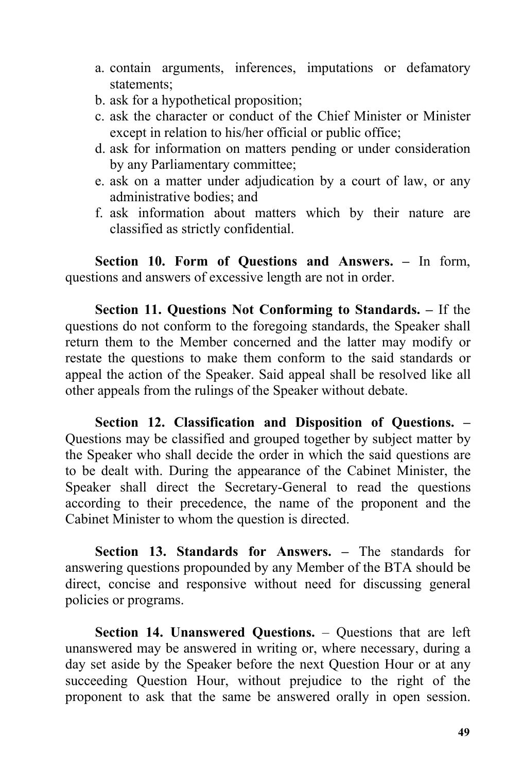- a. contain arguments, inferences, imputations or defamatory statements;
- b. ask for a hypothetical proposition;
- c. ask the character or conduct of the Chief Minister or Minister except in relation to his/her official or public office;
- d. ask for information on matters pending or under consideration by any Parliamentary committee;
- e. ask on a matter under adjudication by a court of law, or any administrative bodies; and
- f. ask information about matters which by their nature are classified as strictly confidential.

**Section 10. Form of Questions and Answers. –** In form, questions and answers of excessive length are not in order.

**Section 11. Questions Not Conforming to Standards. –** If the questions do not conform to the foregoing standards, the Speaker shall return them to the Member concerned and the latter may modify or restate the questions to make them conform to the said standards or appeal the action of the Speaker. Said appeal shall be resolved like all other appeals from the rulings of the Speaker without debate.

**Section 12. Classification and Disposition of Questions. –** Questions may be classified and grouped together by subject matter by the Speaker who shall decide the order in which the said questions are to be dealt with. During the appearance of the Cabinet Minister, the Speaker shall direct the Secretary-General to read the questions according to their precedence, the name of the proponent and the Cabinet Minister to whom the question is directed.

**Section 13. Standards for Answers. –** The standards for answering questions propounded by any Member of the BTA should be direct, concise and responsive without need for discussing general policies or programs.

**Section 14. Unanswered Questions.** – Questions that are left unanswered may be answered in writing or, where necessary, during a day set aside by the Speaker before the next Question Hour or at any succeeding Question Hour, without prejudice to the right of the proponent to ask that the same be answered orally in open session.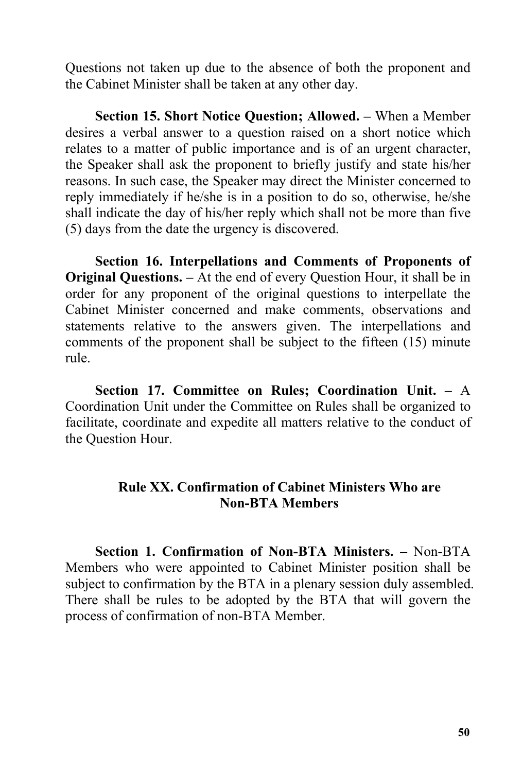Questions not taken up due to the absence of both the proponent and the Cabinet Minister shall be taken at any other day.

**Section 15. Short Notice Question; Allowed. – When a Member** desires a verbal answer to a question raised on a short notice which relates to a matter of public importance and is of an urgent character, the Speaker shall ask the proponent to briefly justify and state his/her reasons. In such case, the Speaker may direct the Minister concerned to reply immediately if he/she is in a position to do so, otherwise, he/she shall indicate the day of his/her reply which shall not be more than five (5) days from the date the urgency is discovered.

**Section 16. Interpellations and Comments of Proponents of Original Questions. –** At the end of every Question Hour, it shall be in order for any proponent of the original questions to interpellate the Cabinet Minister concerned and make comments, observations and statements relative to the answers given. The interpellations and comments of the proponent shall be subject to the fifteen (15) minute rule.

**Section 17. Committee on Rules; Coordination Unit. –** A Coordination Unit under the Committee on Rules shall be organized to facilitate, coordinate and expedite all matters relative to the conduct of the Question Hour.

## **Rule XX. Confirmation of Cabinet Ministers Who are Non-BTA Members**

**Section 1. Confirmation of Non-BTA Ministers. –** Non-BTA Members who were appointed to Cabinet Minister position shall be subject to confirmation by the BTA in a plenary session duly assembled. There shall be rules to be adopted by the BTA that will govern the process of confirmation of non-BTA Member.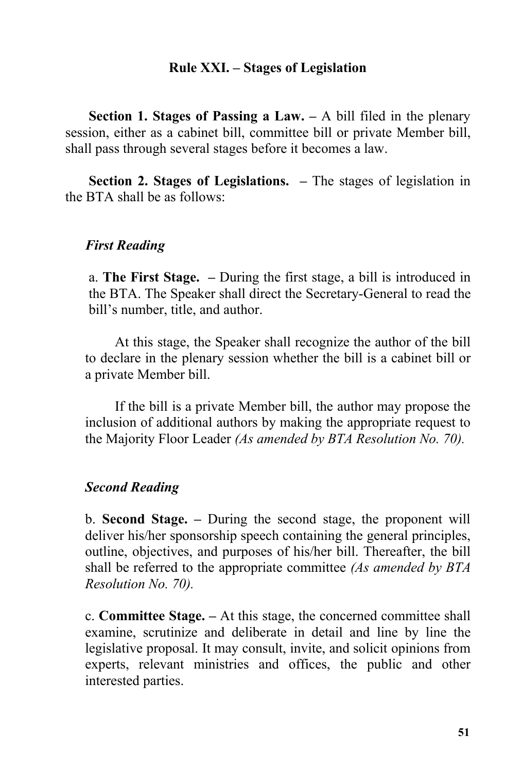## **Rule XXI.** – **Stages** of Legislation

**Section 1. Stages of Passing a Law. –** A bill filed in the plenary session, either as a cabinet bill, committee bill or private Member bill, shall pass through several stages before it becomes a law.

**Section 2. Stages of Legislations. –** The stages of legislation in the BTA shall be as follows:

## *First Reading*

a. **The First Stage. –** During the first stage, a bill is introduced in the BTA. The Speaker shall direct the Secretary-General to read the bill's number, title, and author.

At this stage, the Speaker shall recognize the author of the bill to declare in the plenary session whether the bill is a cabinet bill or a private Member bill.

If the bill is a private Member bill, the author may propose the inclusion of additional authors by making the appropriate request to the Majority Floor Leader *(As amended by BTA Resolution No. 70).*

#### *Second Reading*

b. **Second Stage. –** During the second stage, the proponent will deliver his/her sponsorship speech containing the general principles, outline, objectives, and purposes of his/her bill. Thereafter, the bill shall be referred to the appropriate committee *(As amended by BTA Resolution No. 70).*

c. **Committee Stage. –** At this stage, the concerned committee shall examine, scrutinize and deliberate in detail and line by line the legislative proposal. It may consult, invite, and solicit opinions from experts, relevant ministries and offices, the public and other interested parties.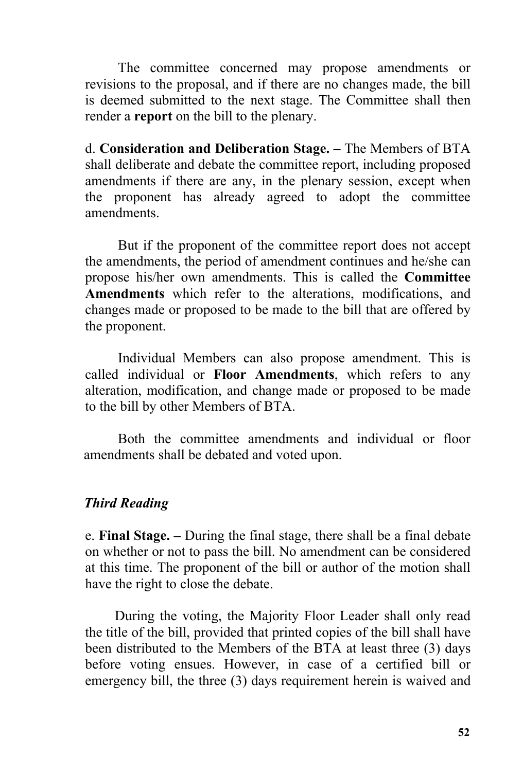The committee concerned may propose amendments or revisions to the proposal, and if there are no changes made, the bill is deemed submitted to the next stage. The Committee shall then render a **report** on the bill to the plenary.

d. **Consideration and Deliberation Stage. –** The Members of BTA shall deliberate and debate the committee report, including proposed amendments if there are any, in the plenary session, except when the proponent has already agreed to adopt the committee amendments.

But if the proponent of the committee report does not accept the amendments, the period of amendment continues and he/she can propose his/her own amendments. This is called the **Committee Amendments** which refer to the alterations, modifications, and changes made or proposed to be made to the bill that are offered by the proponent.

Individual Members can also propose amendment. This is called individual or **Floor Amendments**, which refers to any alteration, modification, and change made or proposed to be made to the bill by other Members of BTA.

Both the committee amendments and individual or floor amendments shall be debated and voted upon.

# *Third Reading*

e. **Final Stage. –** During the final stage, there shall be a final debate on whether or not to pass the bill. No amendment can be considered at this time. The proponent of the bill or author of the motion shall have the right to close the debate.

During the voting, the Majority Floor Leader shall only read the title of the bill, provided that printed copies of the bill shall have been distributed to the Members of the BTA at least three (3) days before voting ensues. However, in case of a certified bill or emergency bill, the three (3) days requirement herein is waived and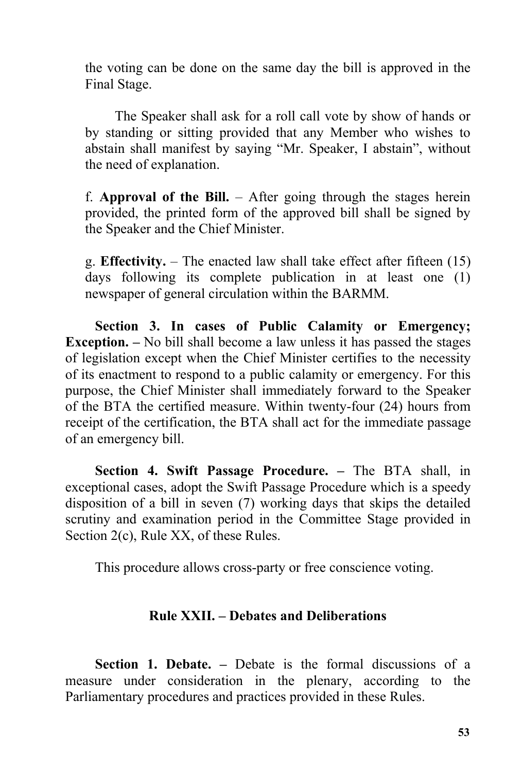the voting can be done on the same day the bill is approved in the Final Stage.

The Speaker shall ask for a roll call vote by show of hands or by standing or sitting provided that any Member who wishes to abstain shall manifest by saying "Mr. Speaker, I abstain", without the need of explanation.

f. **Approval of the Bill.** – After going through the stages herein provided, the printed form of the approved bill shall be signed by the Speaker and the Chief Minister.

g. **Effectivity.** – The enacted law shall take effect after fifteen (15) days following its complete publication in at least one (1) newspaper of general circulation within the BARMM.

**Section 3. In cases of Public Calamity or Emergency; Exception. –** No bill shall become a law unless it has passed the stages of legislation except when the Chief Minister certifies to the necessity of its enactment to respond to a public calamity or emergency. For this purpose, the Chief Minister shall immediately forward to the Speaker of the BTA the certified measure. Within twenty-four (24) hours from receipt of the certification, the BTA shall act for the immediate passage of an emergency bill.

**Section 4. Swift Passage Procedure.** – The BTA shall, in exceptional cases, adopt the Swift Passage Procedure which is a speedy disposition of a bill in seven (7) working days that skips the detailed scrutiny and examination period in the Committee Stage provided in Section 2(c), Rule XX, of these Rules.

This procedure allows cross-party or free conscience voting.

## **Rule XXII. – Debates and Deliberations**

**Section 1. Debate. –** Debate is the formal discussions of a measure under consideration in the plenary, according to the Parliamentary procedures and practices provided in these Rules.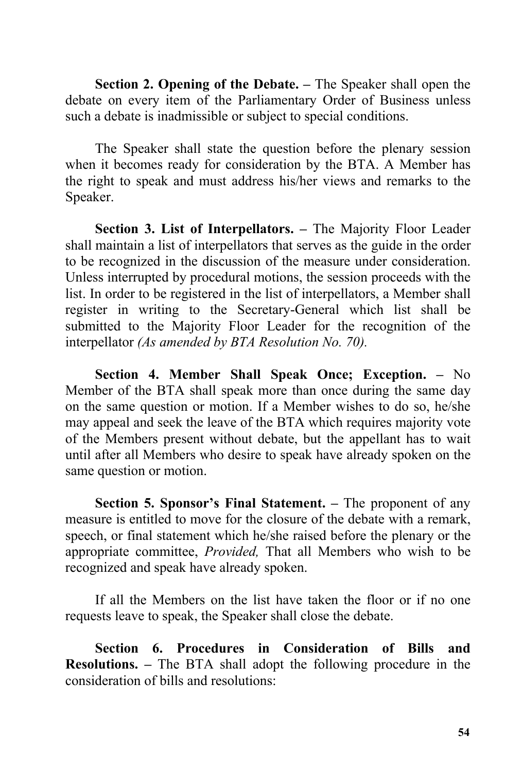**Section 2. Opening of the Debate. –** The Speaker shall open the debate on every item of the Parliamentary Order of Business unless such a debate is inadmissible or subject to special conditions.

The Speaker shall state the question before the plenary session when it becomes ready for consideration by the BTA. A Member has the right to speak and must address his/her views and remarks to the Speaker.

**Section 3. List of Interpellators. –** The Majority Floor Leader shall maintain a list of interpellators that serves as the guide in the order to be recognized in the discussion of the measure under consideration. Unless interrupted by procedural motions, the session proceeds with the list. In order to be registered in the list of interpellators, a Member shall register in writing to the Secretary-General which list shall be submitted to the Majority Floor Leader for the recognition of the interpellator *(As amended by BTA Resolution No. 70).*

**Section 4. Member Shall Speak Once; Exception. –** No Member of the BTA shall speak more than once during the same day on the same question or motion. If a Member wishes to do so, he/she may appeal and seek the leave of the BTA which requires majority vote of the Members present without debate, but the appellant has to wait until after all Members who desire to speak have already spoken on the same question or motion.

**Section 5. Sponsor's Final Statement. –** The proponent of any measure is entitled to move for the closure of the debate with a remark, speech, or final statement which he/she raised before the plenary or the appropriate committee, *Provided,* That all Members who wish to be recognized and speak have already spoken.

If all the Members on the list have taken the floor or if no one requests leave to speak, the Speaker shall close the debate.

**Section 6. Procedures in Consideration of Bills and Resolutions. –** The BTA shall adopt the following procedure in the consideration of bills and resolutions: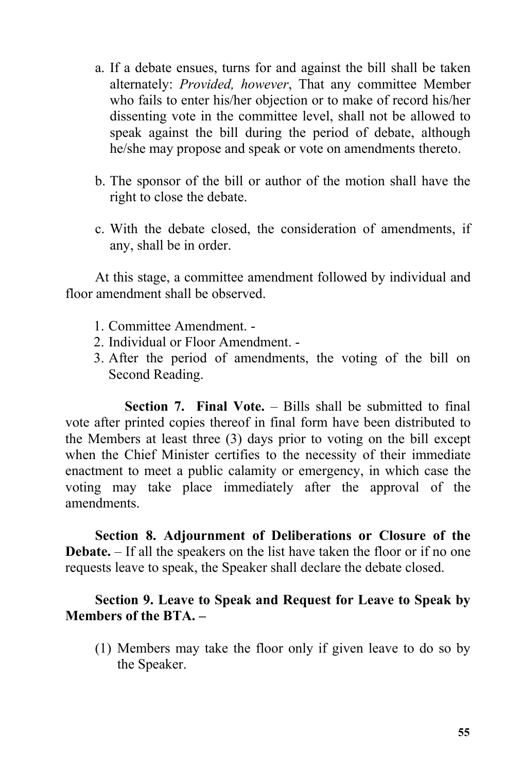- a. If a debate ensues, turns for and against the bill shall be taken alternately: *Provided, however*, That any committee Member who fails to enter his/her objection or to make of record his/her dissenting vote in the committee level, shall not be allowed to speak against the bill during the period of debate, although he/she may propose and speak or vote on amendments thereto.
- b. The sponsor of the bill or author of the motion shall have the right to close the debate.
- c. With the debate closed, the consideration of amendments, if any, shall be in order.

At this stage, a committee amendment followed by individual and floor amendment shall be observed.

- 1. Committee Amendment. -
- 2. Individual or Floor Amendment. -
- 3. After the period of amendments, the voting of the bill on Second Reading.

**Section 7. Final Vote.** – Bills shall be submitted to final vote after printed copies thereof in final form have been distributed to the Members at least three (3) days prior to voting on the bill except when the Chief Minister certifies to the necessity of their immediate enactment to meet a public calamity or emergency, in which case the voting may take place immediately after the approval of the amendments.

**Section 8. Adjournment of Deliberations or Closure of the Debate.** – If all the speakers on the list have taken the floor or if no one requests leave to speak, the Speaker shall declare the debate closed.

# **Section 9. Leave to Speak and Request for Leave to Speak by Members** of the BTA. –

(1) Members may take the floor only if given leave to do so by the Speaker.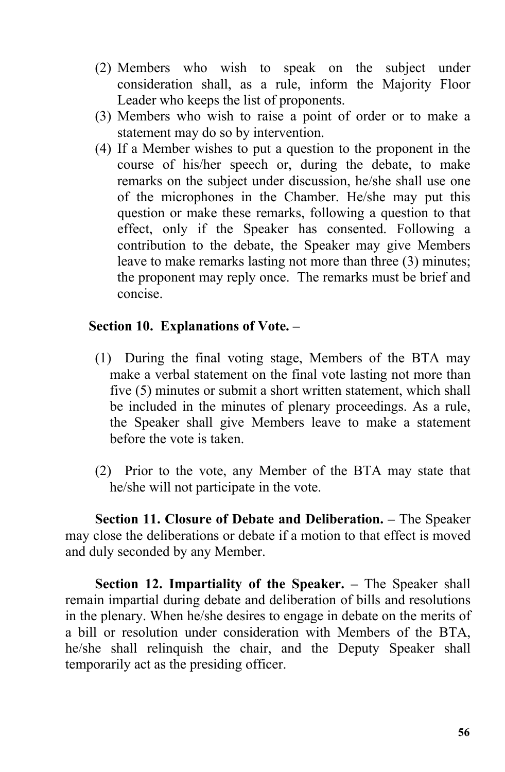- (2) Members who wish to speak on the subject under consideration shall, as a rule, inform the Majority Floor Leader who keeps the list of proponents.
- (3) Members who wish to raise a point of order or to make a statement may do so by intervention.
- (4) If a Member wishes to put a question to the proponent in the course of his/her speech or, during the debate, to make remarks on the subject under discussion, he/she shall use one of the microphones in the Chamber. He/she may put this question or make these remarks, following a question to that effect, only if the Speaker has consented. Following a contribution to the debate, the Speaker may give Members leave to make remarks lasting not more than three (3) minutes; the proponent may reply once. The remarks must be brief and concise.

# **Section 10. Explanations of Vote. –**

- (1) During the final voting stage, Members of the BTA may make a verbal statement on the final vote lasting not more than five (5) minutes or submit a short written statement, which shall be included in the minutes of plenary proceedings. As a rule, the Speaker shall give Members leave to make a statement before the vote is taken.<br>(2) Prior to the vote, any Member of the BTA may state that
- he/she will not participate in the vote.

**Section 11. Closure of Debate and Deliberation. –** The Speaker may close the deliberations or debate if a motion to that effect is moved and duly seconded by any Member.

**Section 12. Impartiality of the Speaker. –** The Speaker shall remain impartial during debate and deliberation of bills and resolutions in the plenary. When he/she desires to engage in debate on the merits of a bill or resolution under consideration with Members of the BTA, he/she shall relinquish the chair, and the Deputy Speaker shall temporarily act as the presiding officer.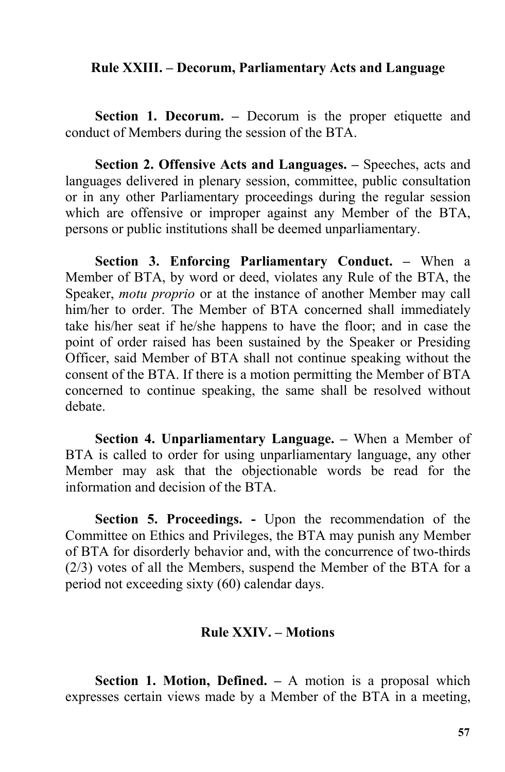#### **Rule XXIII. – Decorum, Parliamentary Acts and Language**

**Section 1. Decorum. –** Decorum is the proper etiquette and conduct of Members during the session of the BTA.

**Section 2. Offensive Acts and Languages. –** Speeches, acts and languages delivered in plenary session, committee, public consultation or in any other Parliamentary proceedings during the regular session which are offensive or improper against any Member of the BTA, persons or public institutions shall be deemed unparliamentary.

**Section 3. Enforcing Parliamentary Conduct. –** When a Member of BTA, by word or deed, violates any Rule of the BTA, the Speaker, *motu proprio* or at the instance of another Member may call him/her to order. The Member of BTA concerned shall immediately take his/her seat if he/she happens to have the floor; and in case the point of order raised has been sustained by the Speaker or Presiding Officer, said Member of BTA shall not continue speaking without the consent of the BTA. If there is a motion permitting the Member of BTA concerned to continue speaking, the same shall be resolved without debate.

**Section 4. Unparliamentary Language. –** When a Member of BTA is called to order for using unparliamentary language, any other Member may ask that the objectionable words be read for the information and decision of the BTA.

**Section 5. Proceedings. -** Upon the recommendation of the Committee on Ethics and Privileges, the BTA may punish any Member of BTA for disorderly behavior and, with the concurrence of two-thirds (2/3) votes of all the Members, suspend the Member of the BTA for a period not exceeding sixty (60) calendar days.

#### **Rule XXIV. – Motions**

**Section 1. Motion, Defined. –** A motion is a proposal which expresses certain views made by a Member of the BTA in a meeting,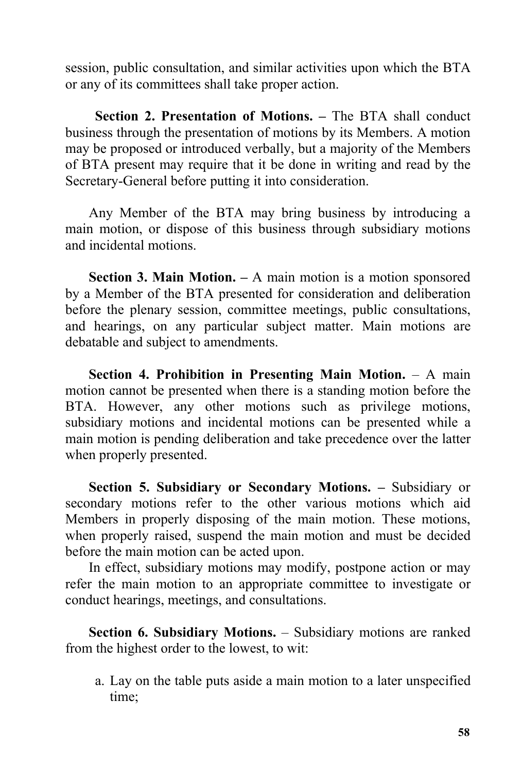session, public consultation, and similar activities upon which the BTA or any of its committees shall take proper action.

**Section 2. Presentation of Motions. –** The BTA shall conduct business through the presentation of motions by its Members. A motion may be proposed or introduced verbally, but a majority of the Members of BTA present may require that it be done in writing and read by the Secretary-General before putting it into consideration.

Any Member of the BTA may bring business by introducing a main motion, or dispose of this business through subsidiary motions and incidental motions.

**Section 3. Main Motion. –** A main motion is a motion sponsored by a Member of the BTA presented for consideration and deliberation before the plenary session, committee meetings, public consultations, and hearings, on any particular subject matter. Main motions are debatable and subject to amendments.

**Section 4. Prohibition in Presenting Main Motion.** – A main motion cannot be presented when there is a standing motion before the BTA. However, any other motions such as privilege motions, subsidiary motions and incidental motions can be presented while a main motion is pending deliberation and take precedence over the latter when properly presented.

**Section 5. Subsidiary or Secondary Motions. –** Subsidiary or secondary motions refer to the other various motions which aid Members in properly disposing of the main motion. These motions, when properly raised, suspend the main motion and must be decided before the main motion can be acted upon.

In effect, subsidiary motions may modify, postpone action or may refer the main motion to an appropriate committee to investigate or conduct hearings, meetings, and consultations.

**Section 6. Subsidiary Motions.** – Subsidiary motions are ranked from the highest order to the lowest, to wit:

a. Lay on the table puts aside a main motion to a later unspecified time;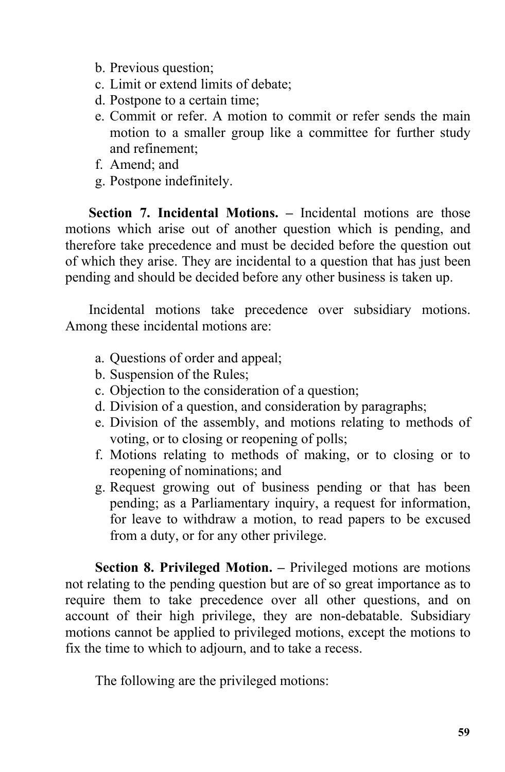- b. Previous question;
- c. Limit or extend limits of debate;
- d. Postpone to a certain time;
- e. Commit or refer. A motion to commit or refer sends the main motion to a smaller group like a committee for further study and refinement;
- f. Amend; and
- g. Postpone indefinitely.

**Section 7. Incidental Motions. –** Incidental motions are those motions which arise out of another question which is pending, and therefore take precedence and must be decided before the question out of which they arise. They are incidental to a question that has just been pending and should be decided before any other business is taken up.

Incidental motions take precedence over subsidiary motions. Among these incidental motions are:

- a. Questions of order and appeal;
- b. Suspension of the Rules;
- c. Objection to the consideration of a question;
- d. Division of a question, and consideration by paragraphs;
- e. Division of the assembly, and motions relating to methods of voting, or to closing or reopening of polls;
- f. Motions relating to methods of making, or to closing or to reopening of nominations; and
- g. Request growing out of business pending or that has been pending; as a Parliamentary inquiry, a request for information, for leave to withdraw a motion, to read papers to be excused from a duty, or for any other privilege.

**Section 8. Privileged Motion. –** Privileged motions are motions not relating to the pending question but are of so great importance as to require them to take precedence over all other questions, and on account of their high privilege, they are non-debatable. Subsidiary motions cannot be applied to privileged motions, except the motions to fix the time to which to adjourn, and to take a recess.

The following are the privileged motions: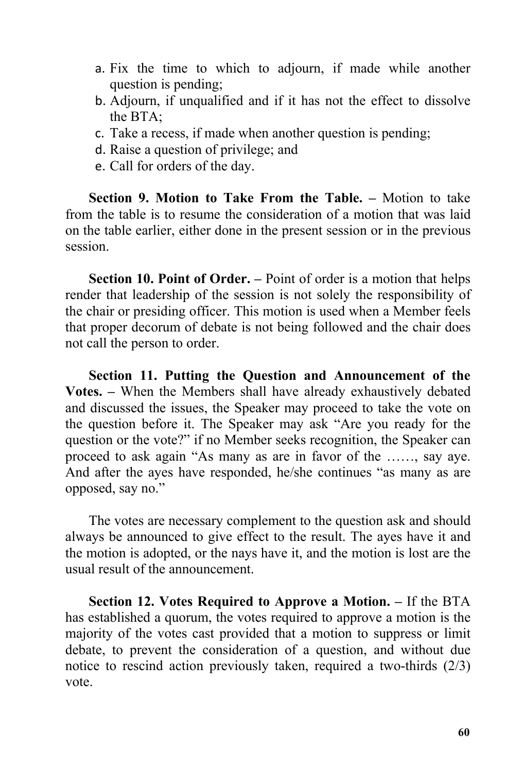- a. Fix the time to which to adjourn, if made while another question is pending;
- b. Adjourn, if unqualified and if it has not the effect to dissolve the BTA;
- c. Take a recess, if made when another question is pending;
- d. Raise a question of privilege; and
- e. Call for orders of the day.

**Section 9. Motion to Take From the Table. –** Motion to take from the table is to resume the consideration of a motion that was laid on the table earlier, either done in the present session or in the previous session.

**Section 10. Point of Order. –** Point of order is a motion that helps render that leadership of the session is not solely the responsibility of the chair or presiding officer. This motion is used when a Member feels that proper decorum of debate is not being followed and the chair does not call the person to order.

**Section 11. Putting the Question and Announcement of the Votes. –** When the Members shall have already exhaustively debated and discussed the issues, the Speaker may proceed to take the vote on the question before it. The Speaker may ask "Are you ready for the question or the vote?" if no Member seeks recognition, the Speaker can proceed to ask again "As many as are in favor of the ……, say aye. And after the ayes have responded, he/she continues "as many as are opposed, say no."

The votes are necessary complement to the question ask and should always be announced to give effect to the result. The ayes have it and the motion is adopted, or the nays have it, and the motion is lost are the usual result of the announcement.

**Section 12. Votes Required to Approve a Motion. –** If the BTA has established a quorum, the votes required to approve a motion is the majority of the votes cast provided that a motion to suppress or limit debate, to prevent the consideration of a question, and without due notice to rescind action previously taken, required a two-thirds (2/3) vote.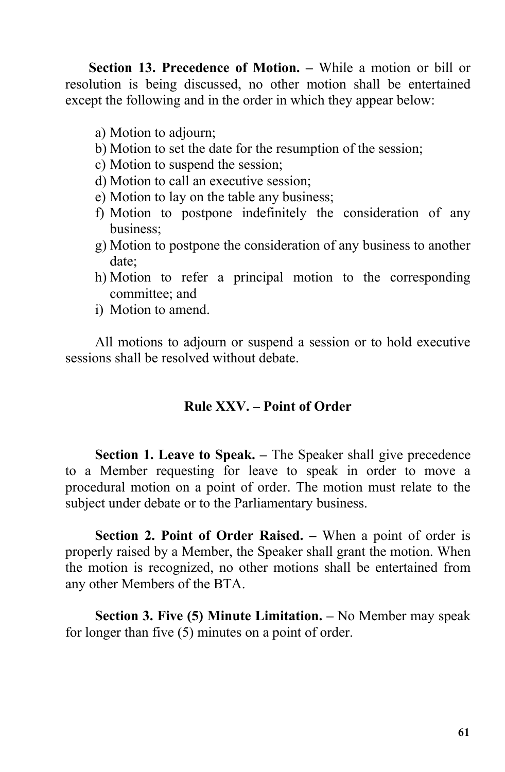**Section 13. Precedence of Motion. –** While a motion or bill or resolution is being discussed, no other motion shall be entertained except the following and in the order in which they appear below:

- a) Motion to adjourn;
- b) Motion to set the date for the resumption of the session;
- c) Motion to suspend the session;
- d) Motion to call an executive session;
- e) Motion to lay on the table any business;
- f) Motion to postpone indefinitely the consideration of any business;
- g) Motion to postpone the consideration of any business to another date;
- h) Motion to refer a principal motion to the corresponding committee; and
- i) Motion to amend.

All motions to adjourn or suspend a session or to hold executive sessions shall be resolved without debate.

# **Rule XXV. – Point of Order**

**Section 1. Leave to Speak. –** The Speaker shall give precedence to a Member requesting for leave to speak in order to move a procedural motion on a point of order. The motion must relate to the subject under debate or to the Parliamentary business.

**Section 2. Point of Order Raised. –** When a point of order is properly raised by a Member, the Speaker shall grant the motion. When the motion is recognized, no other motions shall be entertained from any other Members of the BTA.

**Section 3. Five (5) Minute Limitation. –** No Member may speak for longer than five (5) minutes on a point of order.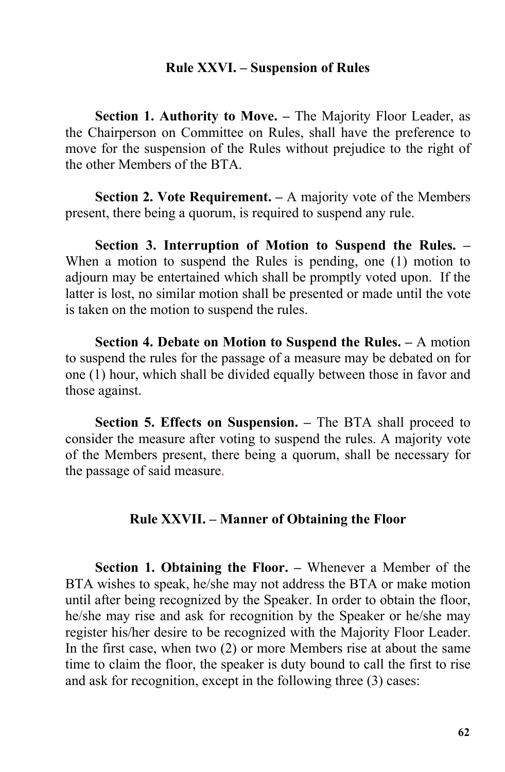#### **Rule XXVI. – Suspension of Rules**

**Section 1. Authority to Move. –** The Majority Floor Leader, as the Chairperson on Committee on Rules, shall have the preference to move for the suspension of the Rules without prejudice to the right of the other Members of the BTA.

**Section 2. Vote Requirement. –** A majority vote of the Members present, there being a quorum, is required to suspend any rule.

**Section 3. Interruption of Motion to Suspend the Rules. –** When a motion to suspend the Rules is pending, one (1) motion to adjourn may be entertained which shall be promptly voted upon. If the latter is lost, no similar motion shall be presented or made until the vote is taken on the motion to suspend the rules.

**Section 4. Debate on Motion to Suspend the Rules. –** A motion to suspend the rules for the passage of a measure may be debated on for one (1) hour, which shall be divided equally between those in favor and those against.

**Section 5. Effects on Suspension. –** The BTA shall proceed to consider the measure after voting to suspend the rules. A majority vote of the Members present, there being a quorum, shall be necessary for the passage of said measure.

### **Rule XXVII. – Manner of Obtaining the Floor**

**Section 1. Obtaining the Floor. –** Whenever a Member of the BTA wishes to speak, he/she may not address the BTA or make motion until after being recognized by the Speaker. In order to obtain the floor, he/she may rise and ask for recognition by the Speaker or he/she may register his/her desire to be recognized with the Majority Floor Leader. In the first case, when two (2) or more Members rise at about the same time to claim the floor, the speaker is duty bound to call the first to rise and ask for recognition, except in the following three (3) cases: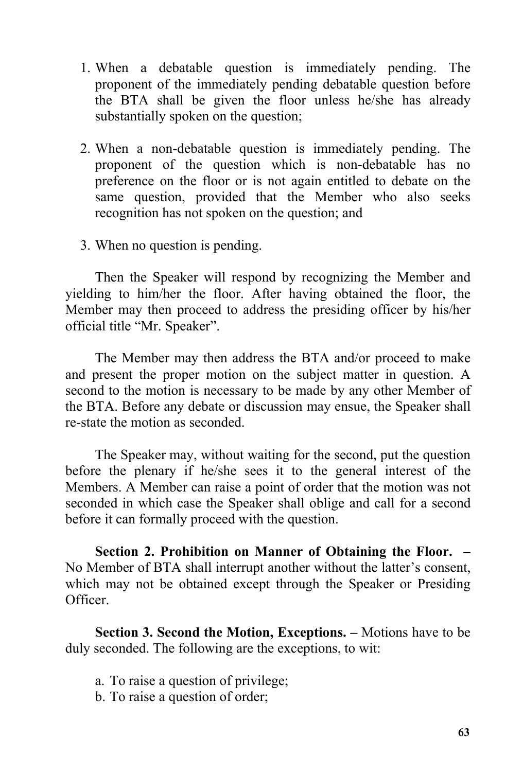- 1. When a debatable question is immediately pending. The proponent of the immediately pending debatable question before the BTA shall be given the floor unless he/she has already substantially spoken on the question;
- 2. When a non-debatable question is immediately pending. The proponent of the question which is non-debatable has no preference on the floor or is not again entitled to debate on the same question, provided that the Member who also seeks recognition has not spoken on the question; and
- 3. When no question is pending.

Then the Speaker will respond by recognizing the Member and yielding to him/her the floor. After having obtained the floor, the Member may then proceed to address the presiding officer by his/her official title "Mr. Speaker".

The Member may then address the BTA and/or proceed to make and present the proper motion on the subject matter in question. A second to the motion is necessary to be made by any other Member of the BTA. Before any debate or discussion may ensue, the Speaker shall re-state the motion as seconded.

The Speaker may, without waiting for the second, put the question before the plenary if he/she sees it to the general interest of the Members. A Member can raise a point of order that the motion was not seconded in which case the Speaker shall oblige and call for a second before it can formally proceed with the question.

**Section 2. Prohibition on Manner of Obtaining the Floor. –** No Member of BTA shall interrupt another without the latter's consent, which may not be obtained except through the Speaker or Presiding Officer.

**Section 3. Second the Motion, Exceptions. –** Motions have to be duly seconded. The following are the exceptions, to wit:

- a. To raise a question of privilege;
- b. To raise a question of order;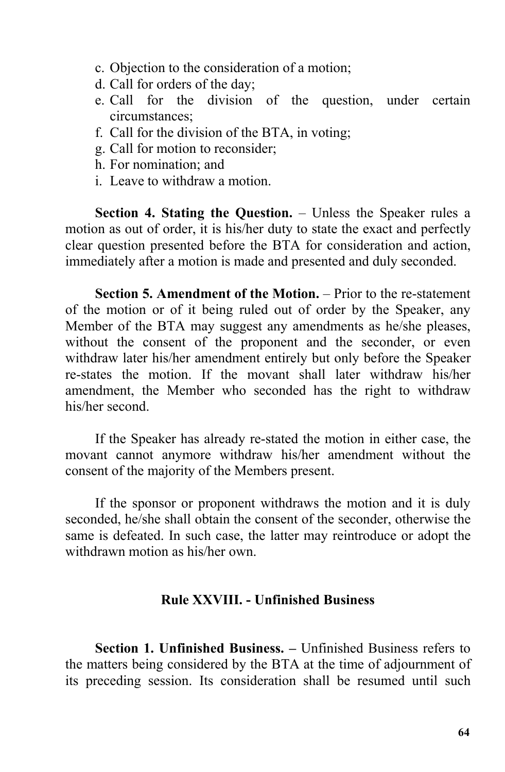- c. Objection to the consideration of a motion;
- d. Call for orders of the day;
- e. Call for the division of the question, under certain circumstances;
- f. Call for the division of the BTA, in voting;
- g. Call for motion to reconsider;
- h. For nomination; and
- i. Leave to withdraw a motion.

**Section 4. Stating the Question.** – Unless the Speaker rules a motion as out of order, it is his/her duty to state the exact and perfectly clear question presented before the BTA for consideration and action, immediately after a motion is made and presented and duly seconded.

**Section 5. Amendment of the Motion.** – Prior to the re-statement of the motion or of it being ruled out of order by the Speaker, any Member of the BTA may suggest any amendments as he/she pleases, without the consent of the proponent and the seconder, or even withdraw later his/her amendment entirely but only before the Speaker re-states the motion. If the movant shall later withdraw his/her amendment, the Member who seconded has the right to withdraw his/her second.

If the Speaker has already re-stated the motion in either case, the movant cannot anymore withdraw his/her amendment without the consent of the majority of the Members present.

If the sponsor or proponent withdraws the motion and it is duly seconded, he/she shall obtain the consent of the seconder, otherwise the same is defeated. In such case, the latter may reintroduce or adopt the withdrawn motion as his/her own.

### **Rule XXVIII. - Unfinished Business**

**Section 1. Unfinished Business. –** Unfinished Business refers to the matters being considered by the BTA at the time of adjournment of its preceding session. Its consideration shall be resumed until such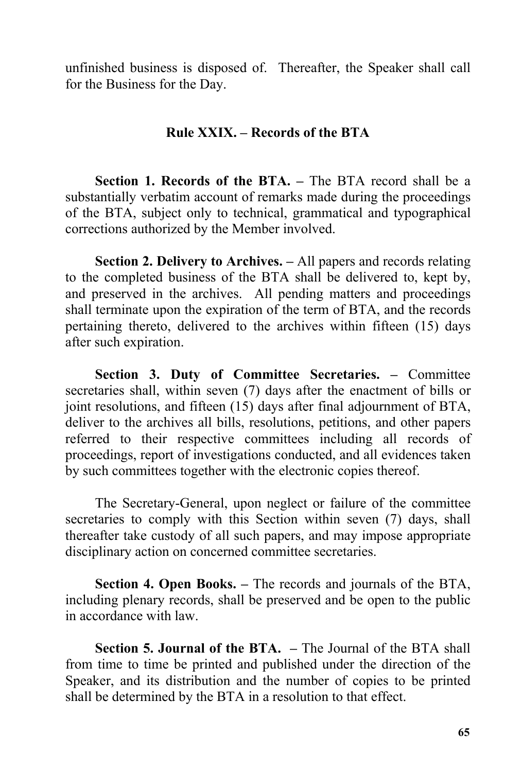unfinished business is disposed of. Thereafter, the Speaker shall call for the Business for the Day.

## **Rule XXIX. – Records ofthe BTA**

**Section 1. Records of the BTA. –** The BTA record shall be a substantially verbatim account of remarks made during the proceedings of the BTA, subject only to technical, grammatical and typographical corrections authorized by the Member involved.

**Section 2. Delivery to Archives. –** All papers and records relating to the completed business of the BTA shall be delivered to, kept by, and preserved in the archives. All pending matters and proceedings shall terminate upon the expiration of the term of BTA, and the records pertaining thereto, delivered to the archives within fifteen (15) days after such expiration.

**Section 3. Duty of Committee Secretaries. –** Committee secretaries shall, within seven (7) days after the enactment of bills or joint resolutions, and fifteen (15) days after final adjournment of BTA, deliver to the archives all bills, resolutions, petitions, and other papers referred to their respective committees including all records of proceedings, report of investigations conducted, and all evidences taken by such committees together with the electronic copies thereof.

The Secretary-General, upon neglect or failure of the committee secretaries to comply with this Section within seven (7) days, shall thereafter take custody of all such papers, and may impose appropriate disciplinary action on concerned committee secretaries.

**Section 4. Open Books. –** The records and journals of the BTA, including plenary records, shall be preserved and be open to the public in accordance with law.

**Section 5. Journal of the BTA. –** The Journal of the BTA shall from time to time be printed and published under the direction of the Speaker, and its distribution and the number of copies to be printed shall be determined by the BTA in a resolution to that effect.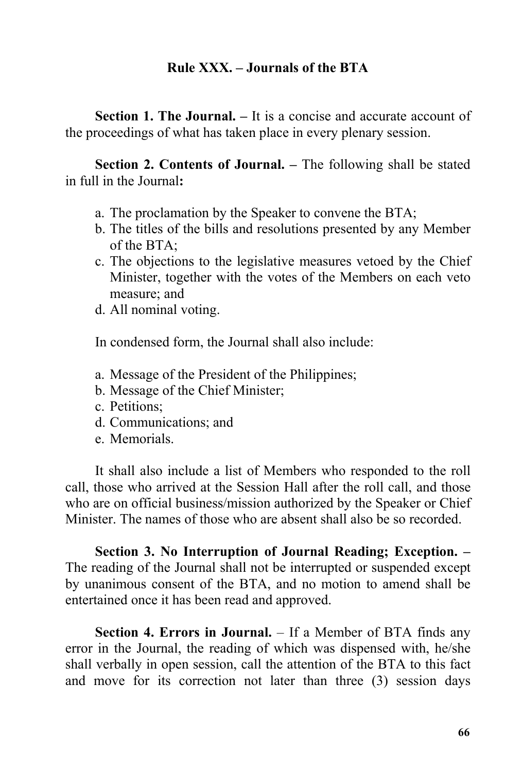### **Rule XXX.** – **Journals** of the **BTA**

**Section 1. The Journal. –** It is a concise and accurate account of the proceedings of what has taken place in every plenary session.

**Section 2. Contents of Journal. –** The following shall be stated in full in the Journal**:**

- a. The proclamation by the Speaker to convene the BTA;
- b. The titles of the bills and resolutions presented by any Member of the BTA;
- c. The objections to the legislative measures vetoed by the Chief Minister, together with the votes of the Members on each veto measure; and
- d. All nominal voting.

In condensed form, the Journal shall also include:

- a. Message of the President of the Philippines;
- b. Message of the Chief Minister;
- c. Petitions;
- d. Communications; and
- e. Memorials.

It shall also include a list of Members who responded to the roll call, those who arrived at the Session Hall after the roll call, and those who are on official business/mission authorized by the Speaker or Chief Minister. The names of those who are absent shall also be so recorded.

**Section 3. No Interruption of Journal Reading; Exception. –** The reading of the Journal shall not be interrupted or suspended except by unanimous consent of the BTA, and no motion to amend shall be entertained once it has been read and approved.

**Section 4. Errors in Journal.** – If a Member of BTA finds any error in the Journal, the reading of which was dispensed with, he/she shall verbally in open session, call the attention of the BTA to this fact and move for its correction not later than three (3) session days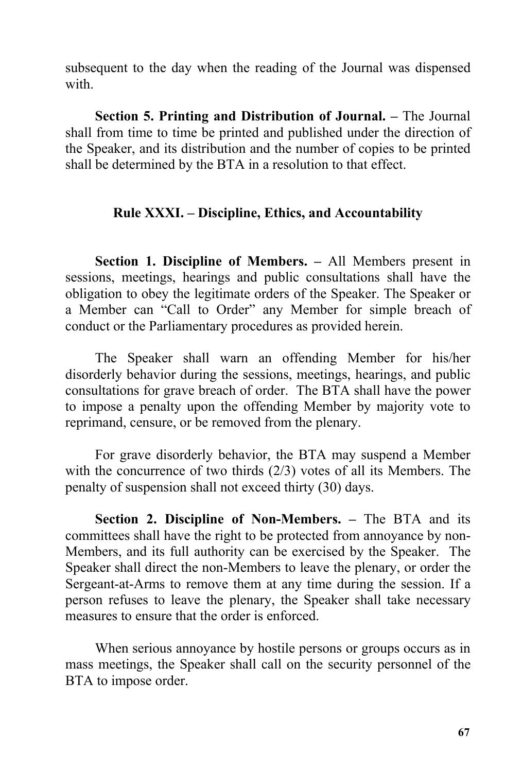subsequent to the day when the reading of the Journal was dispensed with.

**Section 5. Printing and Distribution of Journal. –** The Journal shall from time to time be printed and published under the direction of the Speaker, and its distribution and the number of copies to be printed shall be determined by the BTA in a resolution to that effect.

# **Rule XXXI. – Discipline, Ethics, and Accountability**

**Section 1. Discipline of Members. –** All Members present in sessions, meetings, hearings and public consultations shall have the obligation to obey the legitimate orders of the Speaker. The Speaker or a Member can "Call to Order" any Member for simple breach of conduct or the Parliamentary procedures as provided herein.

The Speaker shall warn an offending Member for his/her disorderly behavior during the sessions, meetings, hearings, and public consultations for grave breach of order. The BTA shall have the power to impose a penalty upon the offending Member by majority vote to reprimand, censure, or be removed from the plenary.

For grave disorderly behavior, the BTA may suspend a Member with the concurrence of two thirds (2/3) votes of all its Members. The penalty of suspension shall not exceed thirty (30) days.

**Section 2. Discipline of Non-Members. –** The BTA and its committees shall have the right to be protected from annoyance by non-Members, and its full authority can be exercised by the Speaker. The Speaker shall direct the non-Members to leave the plenary, or order the Sergeant-at-Arms to remove them at any time during the session. If a person refuses to leave the plenary, the Speaker shall take necessary measures to ensure that the order is enforced.

When serious annoyance by hostile persons or groups occurs as in mass meetings, the Speaker shall call on the security personnel of the BTA to impose order.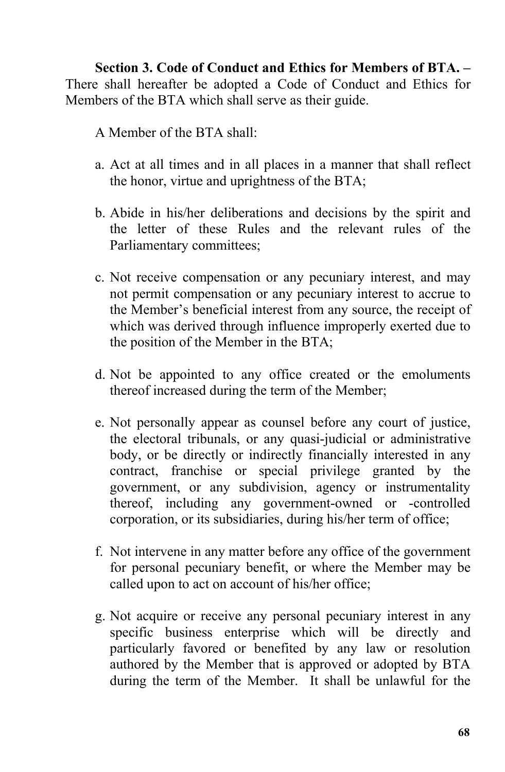**Section 3. Code of Conduct and Ethics for Members ofBTA. –** There shall hereafter be adopted a Code of Conduct and Ethics for Members of the BTA which shall serve as their guide.

A Member of the BTA shall:

- a. Act at all times and in all places in a manner that shall reflect the honor, virtue and uprightness of the BTA;
- b. Abide in his/her deliberations and decisions by the spirit and the letter of these Rules and the relevant rules of the Parliamentary committees;
- c. Not receive compensation or any pecuniary interest, and may not permit compensation or any pecuniary interest to accrue to the Member's beneficial interest from any source, the receipt of which was derived through influence improperly exerted due to the position of the Member in the BTA;
- d. Not be appointed to any office created or the emoluments thereof increased during the term of the Member;
- e. Not personally appear as counsel before any court of justice, the electoral tribunals, or any quasi-judicial or administrative body, or be directly or indirectly financially interested in any contract, franchise or special privilege granted by the government, or any subdivision, agency or instrumentality thereof, including any government-owned or -controlled corporation, or its subsidiaries, during his/her term of office;
- f. Not intervene in any matter before any office of the government for personal pecuniary benefit, or where the Member may be called upon to act on account of his/her office;
- g. Not acquire or receive any personal pecuniary interest in any specific business enterprise which will be directly and particularly favored or benefited by any law or resolution authored by the Member that is approved or adopted by BTA during the term of the Member. It shall be unlawful for the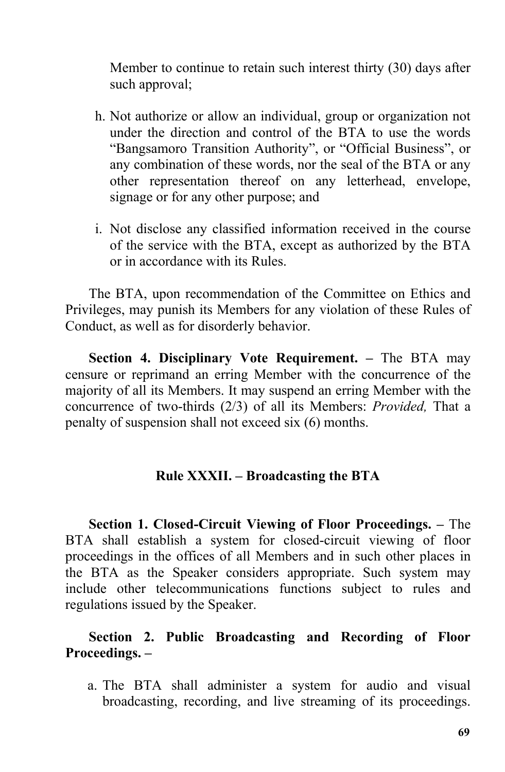Member to continue to retain such interest thirty (30) days after such approval;

- h. Not authorize or allow an individual, group or organization not under the direction and control of the BTA to use the words "Bangsamoro Transition Authority", or "Official Business", or any combination of these words, nor the seal of the BTA or any other representation thereof on any letterhead, envelope, signage or for any other purpose; and
- i. Not disclose any classified information received in the course of the service with the BTA, except as authorized by the BTA or in accordance with its Rules.

The BTA, upon recommendation of the Committee on Ethics and Privileges, may punish its Members for any violation of these Rules of Conduct, as well as for disorderly behavior.

**Section 4. Disciplinary Vote Requirement. –** The BTA may censure or reprimand an erring Member with the concurrence of the majority of all its Members. It may suspend an erring Member with the concurrence of two-thirds (2/3) of all its Members: *Provided,* That a penalty of suspension shall not exceed six (6) months.

## **Rule XXXII. – Broadcasting the BTA**

**Section 1. Closed-Circuit Viewing of Floor Proceedings. –** The BTA shall establish a system for closed-circuit viewing of floor proceedings in the offices of all Members and in such other places in the BTA as the Speaker considers appropriate. Such system may include other telecommunications functions subject to rules and regulations issued by the Speaker.

# **Section 2. Public Broadcasting and Recording of Floor Proceedings. –**

a. The BTA shall administer a system for audio and visual broadcasting, recording, and live streaming of its proceedings.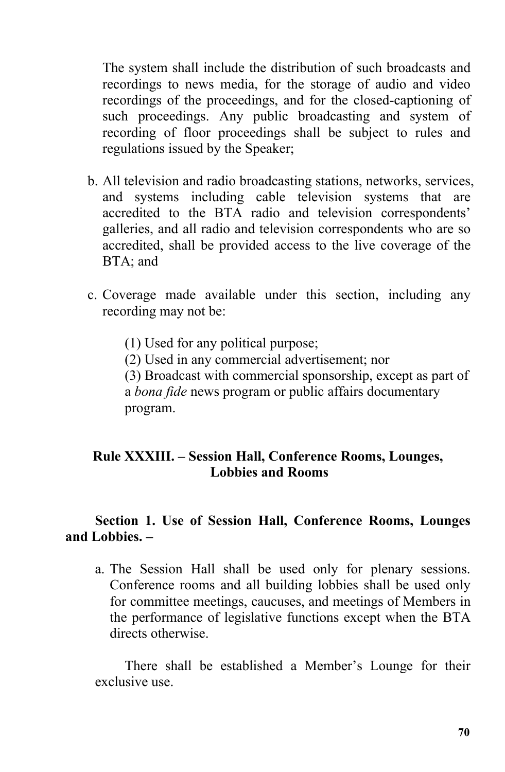The system shall include the distribution of such broadcasts and recordings to news media, for the storage of audio and video recordings of the proceedings, and for the closed-captioning of such proceedings. Any public broadcasting and system of recording of floor proceedings shall be subject to rules and regulations issued by the Speaker;

- b. All television and radio broadcasting stations, networks, services, and systems including cable television systems that are accredited to the BTA radio and television correspondents' galleries, and all radio and television correspondents who are so accredited, shall be provided access to the live coverage of the BTA; and
- c. Coverage made available under this section, including any recording may not be:
	- (1) Used for any political purpose;
	- (2) Used in any commercial advertisement; nor

(3) Broadcast with commercial sponsorship, except as part of a *bona fide* news program or public affairs documentary program.

# **Rule XXXIII. – Session Hall, Conference Rooms, Lounges, Lobbies and Rooms**

## **Section 1. Use of Session Hall, Conference Rooms, Lounges and Lobbies. –**

a. The Session Hall shall be used only for plenary sessions. Conference rooms and all building lobbies shall be used only for committee meetings, caucuses, and meetings of Members in the performance of legislative functions except when the BTA directs otherwise.

There shall be established a Member's Lounge for their exclusive use.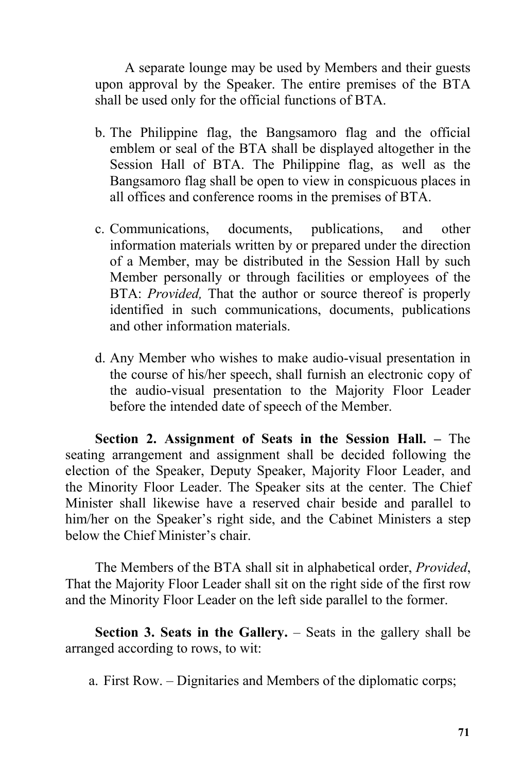A separate lounge may be used by Members and their guests upon approval by the Speaker. The entire premises of the BTA shall be used only for the official functions of BTA.

- b. The Philippine flag, the Bangsamoro flag and the official emblem or seal of the BTA shall be displayed altogether in the Session Hall of BTA. The Philippine flag, as well as the Bangsamoro flag shall be open to view in conspicuous places in all offices and conference rooms in the premises of BTA.
- c. Communications, documents, publications, and other information materials written by or prepared under the direction of a Member, may be distributed in the Session Hall by such Member personally or through facilities or employees of the BTA: *Provided,* That the author or source thereof is properly identified in such communications, documents, publications and other information materials.
- d. Any Member who wishes to make audio-visual presentation in the course of his/her speech, shall furnish an electronic copy of the audio-visual presentation to the Majority Floor Leader before the intended date of speech of the Member.

**Section 2. Assignment of Seats in the Session Hall. –** The seating arrangement and assignment shall be decided following the election of the Speaker, Deputy Speaker, Majority Floor Leader, and the Minority Floor Leader. The Speaker sits at the center. The Chief Minister shall likewise have a reserved chair beside and parallel to him/her on the Speaker's right side, and the Cabinet Ministers a step below the Chief Minister's chair.

The Members of the BTA shall sit in alphabetical order, *Provided*, That the Majority Floor Leader shall sit on the right side of the first row and the Minority Floor Leader on the left side parallel to the former.

**Section 3. Seats in the Gallery.** – Seats in the gallery shall be arranged according to rows, to wit:

a. First Row. – Dignitaries and Members of the diplomatic corps;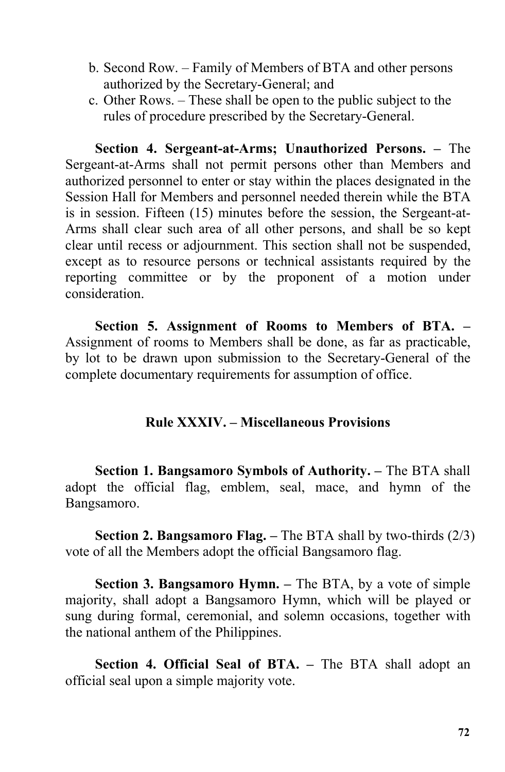- b. Second Row. Family of Members of BTA and other persons authorized by the Secretary-General; and
- c. Other Rows. These shall be open to the public subject to the rules of procedure prescribed by the Secretary-General.

**Section 4. Sergeant-at-Arms; Unauthorized Persons. –** The Sergeant-at-Arms shall not permit persons other than Members and authorized personnel to enter or stay within the places designated in the Session Hall for Members and personnel needed therein while the BTA is in session. Fifteen (15) minutes before the session, the Sergeant-at- Arms shall clear such area of all other persons, and shall be so kept clear until recess or adjournment. This section shall not be suspended, except as to resource persons or technical assistants required by the reporting committee or by the proponent of a motion under consideration.

**Section 5. Assignment of Rooms to Members of BTA. –** Assignment of rooms to Members shall be done, as far as practicable, by lot to be drawn upon submission to the Secretary-General of the complete documentary requirements for assumption of office.

## **Rule XXXIV. – Miscellaneous Provisions**

**Section 1. Bangsamoro Symbols of Authority. –** The BTA shall adopt the official flag, emblem, seal, mace, and hymn of the Bangsamoro.

**Section 2. Bangsamoro Flag. –** The BTA shall by two-thirds (2/3) vote of all the Members adopt the official Bangsamoro flag.

**Section 3. Bangsamoro Hymn. –** The BTA, by a vote of simple majority, shall adopt a Bangsamoro Hymn, which will be played or sung during formal, ceremonial, and solemn occasions, together with the national anthem of the Philippines.

**Section 4. Official Seal of BTA. –** The BTA shall adopt an official seal upon a simple majority vote.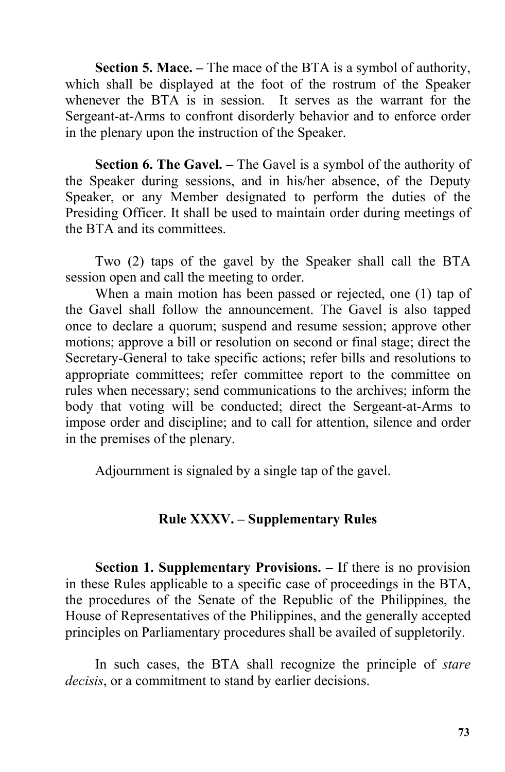**Section 5. Mace. –** The mace of the BTA is a symbol of authority, which shall be displayed at the foot of the rostrum of the Speaker whenever the BTA is in session. It serves as the warrant for the Sergeant-at-Arms to confront disorderly behavior and to enforce order in the plenary upon the instruction of the Speaker.

**Section 6. The Gavel.** – The Gavel is a symbol of the authority of the Speaker during sessions, and in his/her absence, of the Deputy Speaker, or any Member designated to perform the duties of the Presiding Officer. It shall be used to maintain order during meetings of the BTA and its committees.

Two (2) taps of the gavel by the Speaker shall call the BTA session open and call the meeting to order.

When a main motion has been passed or rejected, one (1) tap of the Gavel shall follow the announcement. The Gavel is also tapped once to declare a quorum; suspend and resume session; approve other motions; approve a bill or resolution on second or final stage; direct the Secretary-General to take specific actions; refer bills and resolutions to appropriate committees; refer committee report to the committee on rules when necessary; send communications to the archives; inform the body that voting will be conducted; direct the Sergeant-at-Arms to impose order and discipline; and to call for attention, silence and order in the premises of the plenary.

Adjournment is signaled by a single tap of the gavel.

## **Rule XXXV. – Supplementary Rules**

**Section 1. Supplementary Provisions. – If there is no provision** in these Rules applicable to a specific case of proceedings in the BTA, the procedures of the Senate of the Republic of the Philippines, the House of Representatives of the Philippines, and the generally accepted principles on Parliamentary procedures shall be availed of suppletorily.

In such cases, the BTA shall recognize the principle of *stare decisis*, or a commitment to stand by earlier decisions.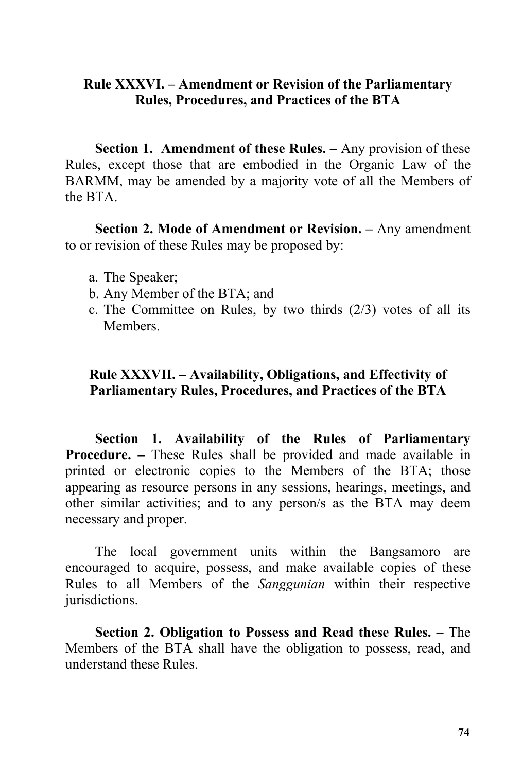## **Rule XXXVI. – Amendment or Revision of the Parliamentary Rules, Procedures, and Practices of the BTA**

**Section 1. Amendment of these Rules. –** Any provision of these Rules, except those that are embodied in the Organic Law of the BARMM, may be amended by a majority vote of all the Members of the BTA.

**Section 2. Mode of Amendment or Revision. –** Any amendment to or revision of these Rules may be proposed by:

- a. The Speaker;
- b. Any Member of the BTA; and
- c. The Committee on Rules, by two thirds (2/3) votes of all its Members.

## **Rule XXXVII. – Availability, Obligations, and Effectivity of Parliamentary Rules, Procedures, and Practices of the BTA**

**Section 1. Availability of the Rules of Parliamentary Procedure. –** These Rules shall be provided and made available in printed or electronic copies to the Members of the BTA; those appearing as resource persons in any sessions, hearings, meetings, and other similar activities; and to any person/s as the BTA may deem necessary and proper.

The local government units within the Bangsamoro are encouraged to acquire, possess, and make available copies of these Rules to all Members of the *Sanggunian* within their respective jurisdictions.

**Section 2. Obligation to Possess and Read these Rules.** – The Members of the BTA shall have the obligation to possess, read, and understand these Rules.